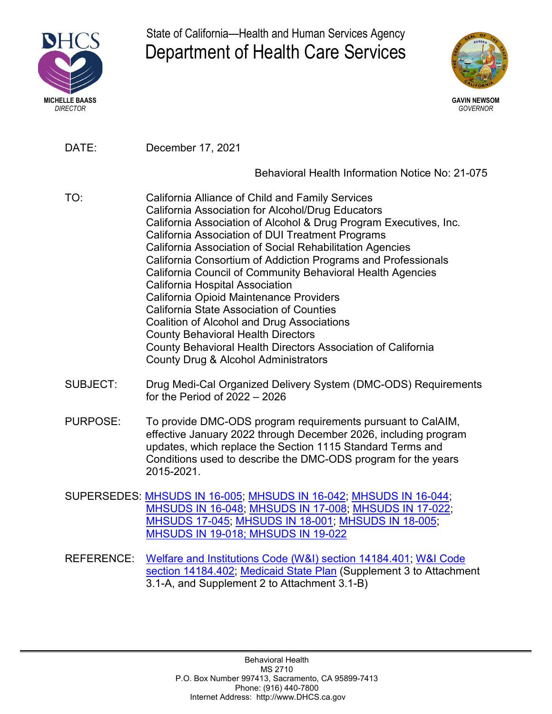

State of California—Health and Human Services Agency Department of Health Care Services



DATE: December 17, 2021

Behavioral Health Information Notice No: 21-075

- TO: California Alliance of Child and Family Services California Association for Alcohol/Drug Educators California Association of Alcohol & Drug Program Executives, Inc. California Association of DUI Treatment Programs California Association of Social Rehabilitation Agencies California Consortium of Addiction Programs and Professionals California Council of Community Behavioral Health Agencies California Hospital Association California Opioid Maintenance Providers California State Association of Counties Coalition of Alcohol and Drug Associations County Behavioral Health Directors County Behavioral Health Directors Association of California County Drug & Alcohol Administrators
- SUBJECT: Drug Medi-Cal Organized Delivery System (DMC-ODS) Requirements for the Period of 2022 – 2026
- PURPOSE: To provide DMC-ODS program requirements pursuant to CalAIM, effective January 2022 through December 2026, including program updates, which replace the Section 1115 Standard Terms and Conditions used to describe the DMC-ODS program for the years 2015-2021.
- SUPERSEDES: [MHSUDS IN 16-005;](https://www.dhcs.ca.gov/formsandpubs/Documents/MHSUDS_Information_Notice_16-005.pdf) [MHSUDS IN 16-042;](https://dhcscagovauthoring/formsandpubs/Documents/MHSUDS-IN-16-042.pdf) [MHSUDS IN 16-044](https://www.dhcs.ca.gov/formsandpubs/Documents/Info%20Notice%202015/MHSUDS_IN_16-044.pdf); [MHSUDS IN 16-048;](https://www.dhcs.ca.gov/formsandpubs/ADPBulletins/MHSUDS-IN_16-048-MAT_NTPS_WAIVER.pdf) [MHSUDS IN 17-008;](https://www.dhcs.ca.gov/provgovpart/Documents/DMC-ODS_Waiver/MHSUDS_Information_Notice_17-008_ODS_Peer_Support_Services.pdf) [MHSUDS IN 17-022;](https://www.dhcs.ca.gov/formsandpubs/Documents/MHSUDS_Information%20_Notice_17-022%20-%20Deadline%20to%20Submit%20DMC%20ODS%20IP.PDF) [MHSUDS 17-045;](https://www.dhcs.ca.gov/formsandpubs/Documents/MHSUDS%20Information%20Notices/MHSUDS_Information_Notice_17-045.pdf) MHSUDS [IN 18-001;](https://www.dhcs.ca.gov/formsandpubs/Documents/MHSUDS%20Information%20Notices/MHSUDS_Info_Notice_18-001-Residential_Reimbursement.pdf) [MHSUDS IN 18-005](https:/https://www.dhcs.ca.gov/formsandpubs/Documents/MHSUDS%20Information%20Notices/MHSUDS_Information_Notices_2019/MHSUDS_IN_19-018_DMC-ODS_Provider_Selection_Review_Process.pdf/www.dhcs.ca.gov/provgovpart/Documents/MHSUDS-Information-Notice-18-005.pdf); MHSUDS IN 19-018; [MHSUDS IN 19-022](https://www.dhcs.ca.gov/formsandpubs/Documents/MHSUDS%20Information%20Notices/MHSUDS_Information_Notices_2019/MHSUDS_IN_19-022-Cert_of_Document_Data%20Submissions_for_DMC-ODS.pdf)
- REFERENCE: [Welfare and Institutions Code \(W&I\) section 14184.401;](https://casetext.com/statute/california-codes/california-welfare-and-institutions-code/division-9-public-social-services/part-3-aid-and-medical-assistance/chapter-7-basic-health-care/article-551-california-advancing-and-innovating-medi-cal-act/section-14184401-continue-implementation-of-the-drug-medi-cal-organized-delivery-system-dmc-ods-program) [W&I Code](https://casetext.com/statute/california-codes/california-welfare-and-institutions-code/division-9-public-social-services/part-3-aid-and-medical-assistance/chapter-7-basic-health-care/article-551-california-advancing-and-innovating-medi-cal-act/section-14184402-medically-necessary-determinations-for-covered-specialty-mental-health-services-and-substance-use-disorder-services-nonspecialty-mental-health-services-coverage) section [14184.402](https://casetext.com/statute/california-codes/california-welfare-and-institutions-code/division-9-public-social-services/part-3-aid-and-medical-assistance/chapter-7-basic-health-care/article-551-california-advancing-and-innovating-medi-cal-act/section-14184402-medically-necessary-determinations-for-covered-specialty-mental-health-services-and-substance-use-disorder-services-nonspecialty-mental-health-services-coverage); [Medicaid State Plan](https://www.dhcs.ca.gov/formsandpubs/laws/Pages/Section3.aspx) (Supplement 3 to Attachment 3.1-A, and Supplement 2 to Attachment 3.1-B)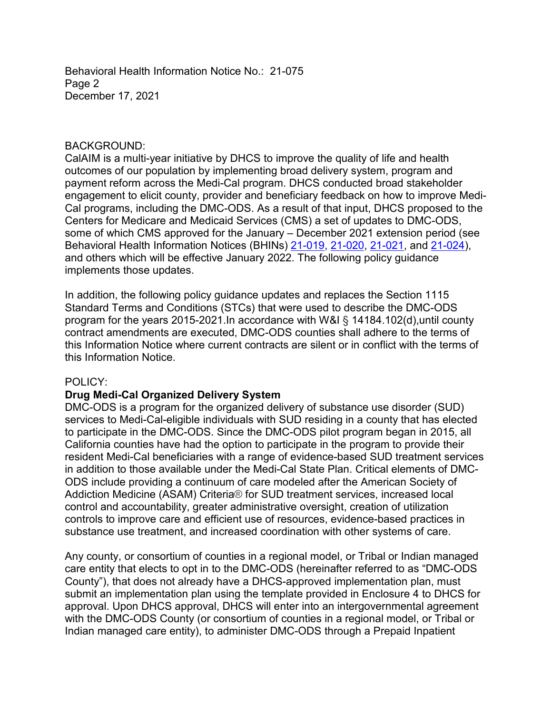Behavioral Health Information Notice No.: 21-075 Page 2 December 17, 2021

#### BACKGROUND:

CalAIM is a multi-year initiative by DHCS to improve the quality of life and health outcomes of our population by implementing broad delivery system, program and payment reform across the Medi-Cal program. DHCS conducted broad stakeholder engagement to elicit county, provider and beneficiary feedback on how to improve Medi-Cal programs, including the DMC-ODS. As a result of that input, DHCS proposed to the Centers for Medicare and Medicaid Services (CMS) a set of updates to DMC-ODS, some of which CMS approved for the January – December 2021 extension period (see Behavioral Health Information Notices (BHINs) [21-019](https://www.dhcs.ca.gov/Documents/BHIN-21-019-DMC-ODS-Updated-Policy-on-Medical-Necessity-and-Level-of-Care.pdf)[, 21-020,](https://www.dhcs.ca.gov/Documents/BHIN-21-020-DMC-ODS-Clarification-on-Recovery-Services.pdf) [21-021,](https://www.dhcs.ca.gov/Documents/BHIN-21-021-DMC-ODS%e2%80%93Updated-Policy-on-Residential-Treatment-Limitations.pdf) and [21-024](https://www.dhcs.ca.gov/Documents/BHIN-21-024-DMC-ODS-Expanding-Access-to-Medications-for-Addiction-Treatment-MAT.pdf)), and others which will be effective January 2022. The following policy guidance implements those updates.

In addition, the following policy guidance updates and replaces the Section 1115 Standard Terms and Conditions (STCs) that were used to describe the DMC-ODS program for the years 2015-2021.In accordance with W&I § 14184.102(d),until county contract amendments are executed, DMC-ODS counties shall adhere to the terms of this Information Notice where current contracts are silent or in conflict with the terms of this Information Notice.

#### POLICY:

#### **Drug Medi-Cal Organized Delivery System**

DMC-ODS is a program for the organized delivery of substance use disorder (SUD) services to Medi-Cal-eligible individuals with SUD residing in a county that has elected to participate in the DMC-ODS. Since the DMC-ODS pilot program began in 2015, all California counties have had the option to participate in the program to provide their resident Medi-Cal beneficiaries with a range of evidence-based SUD treatment services in addition to those available under the Medi-Cal State Plan. Critical elements of DMC-ODS include providing a continuum of care modeled after the American Society of Addiction Medicine (ASAM) Criteria® for SUD treatment services, increased local control and accountability, greater administrative oversight, creation of utilization controls to improve care and efficient use of resources, evidence-based practices in substance use treatment, and increased coordination with other systems of care.

Any county, or consortium of counties in a regional model, or Tribal or Indian managed care entity that elects to opt in to the DMC-ODS (hereinafter referred to as "DMC-ODS County"), that does not already have a DHCS-approved implementation plan, must submit an implementation plan using the template provided in Enclosure 4 to DHCS for approval. Upon DHCS approval, DHCS will enter into an intergovernmental agreement with the DMC-ODS County (or consortium of counties in a regional model, or Tribal or Indian managed care entity), to administer DMC-ODS through a Prepaid Inpatient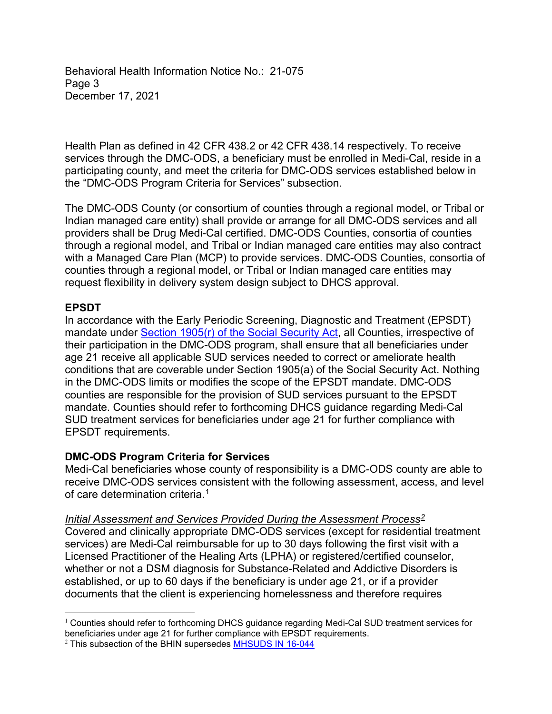Behavioral Health Information Notice No.: 21-075 Page 3 December 17, 2021

Health Plan as defined in 42 CFR 438.2 or 42 CFR 438.14 respectively. To receive services through the DMC-ODS, a beneficiary must be enrolled in Medi-Cal, reside in a participating county, and meet the criteria for DMC-ODS services established below in the "DMC-ODS Program Criteria for Services" subsection.

The DMC-ODS County (or consortium of counties through a regional model, or Tribal or Indian managed care entity) shall provide or arrange for all DMC-ODS services and all providers shall be Drug Medi-Cal certified. DMC-ODS Counties, consortia of counties through a regional model, and Tribal or Indian managed care entities may also contract with a Managed Care Plan (MCP) to provide services. DMC-ODS Counties, consortia of counties through a regional model, or Tribal or Indian managed care entities may request flexibility in delivery system design subject to DHCS approval.

# **EPSDT**

In accordance with the Early Periodic Screening, Diagnostic and Treatment (EPSDT) mandate under [Section 1905\(r\) of the Social](https://www.ssa.gov/OP_Home/ssact/title19/1905.htm) Security Act, all Counties, irrespective of their participation in the DMC-ODS program, shall ensure that all beneficiaries under age 21 receive all applicable SUD services needed to correct or ameliorate health conditions that are coverable under Section 1905(a) of the Social Security Act. Nothing in the DMC-ODS limits or modifies the scope of the EPSDT mandate. DMC-ODS counties are responsible for the provision of SUD services pursuant to the EPSDT mandate. Counties should refer to forthcoming DHCS guidance regarding Medi-Cal SUD treatment services for beneficiaries under age 21 for further compliance with EPSDT requirements.

#### **DMC-ODS Program Criteria for Services**

Medi-Cal beneficiaries whose county of responsibility is a DMC-ODS county are able to receive DMC-ODS services consistent with the following assessment, access, and level of care determination criteria<sup>1</sup>

#### *Initial Assessment and Services Provided During the Assessment Process2*

Covered and clinically appropriate DMC-ODS services (except for residential treatment services) are Medi-Cal reimbursable for up to 30 days following the first visit with a Licensed Practitioner of the Healing Arts (LPHA) or registered/certified counselor, whether or not a DSM diagnosis for Substance-Related and Addictive Disorders is established, or up to 60 days if the beneficiary is under age 21, or if a provider documents that the client is experiencing homelessness and therefore requires

 $\overline{a}$ <sup>1</sup> Counties should refer to forthcoming DHCS guidance regarding Medi-Cal SUD treatment services for beneficiaries under age 21 for further compliance with EPSDT requirements.

<sup>&</sup>lt;sup>2</sup> This subsection of the BHIN supersedes **[MHSUDS IN 16-044](https://www.dhcs.ca.gov/formsandpubs/Documents/Info%20Notice%202015/MHSUDS_IN_16-044.pdf)**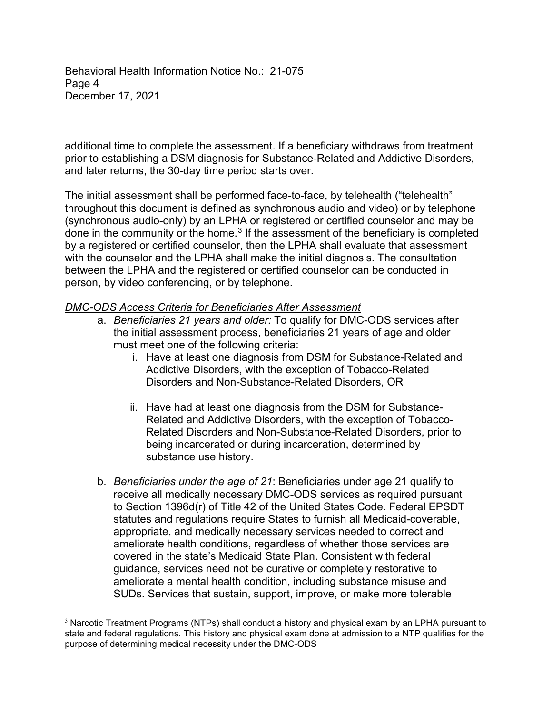Behavioral Health Information Notice No.: 21-075 Page 4 December 17, 2021

additional time to complete the assessment. If a beneficiary withdraws from treatment prior to establishing a DSM diagnosis for Substance-Related and Addictive Disorders, and later returns, the 30-day time period starts over.

The initial assessment shall be performed face-to-face, by telehealth ("telehealth" throughout this document is defined as synchronous audio and video) or by telephone (synchronous audio-only) by an LPHA or registered or certified counselor and may be done in the community or the home. <sup>3</sup> If the assessment of the beneficiary is completed by a registered or certified counselor, then the LPHA shall evaluate that assessment with the counselor and the LPHA shall make the initial diagnosis. The consultation between the LPHA and the registered or certified counselor can be conducted in person, by video conferencing, or by telephone.

### *DMC-ODS Access Criteria for Beneficiaries After Assessment*

- a. *Beneficiaries 21 years and older:* To qualify for DMC-ODS services after the initial assessment process, beneficiaries 21 years of age and older must meet one of the following criteria:
	- i. Have at least one diagnosis from DSM for Substance-Related and Addictive Disorders, with the exception of Tobacco-Related Disorders and Non-Substance-Related Disorders, OR
	- ii. Have had at least one diagnosis from the DSM for Substance-Related and Addictive Disorders, with the exception of Tobacco-Related Disorders and Non-Substance-Related Disorders, prior to being incarcerated or during incarceration, determined by substance use history.
- b. *Beneficiaries under the age of 21*: Beneficiaries under age 21 qualify to receive all medically necessary DMC-ODS services as required pursuant to Section 1396d(r) of Title 42 of the United States Code. Federal EPSDT statutes and regulations require States to furnish all Medicaid-coverable, appropriate, and medically necessary services needed to correct and ameliorate health conditions, regardless of whether those services are covered in the state's Medicaid State Plan. Consistent with federal guidance, services need not be curative or completely restorative to ameliorate a mental health condition, including substance misuse and SUDs. Services that sustain, support, improve, or make more tolerable

 $\overline{a}$ <sup>3</sup> Narcotic Treatment Programs (NTPs) shall conduct a history and physical exam by an LPHA pursuant to state and federal regulations. This history and physical exam done at admission to a NTP qualifies for the purpose of determining medical necessity under the DMC-ODS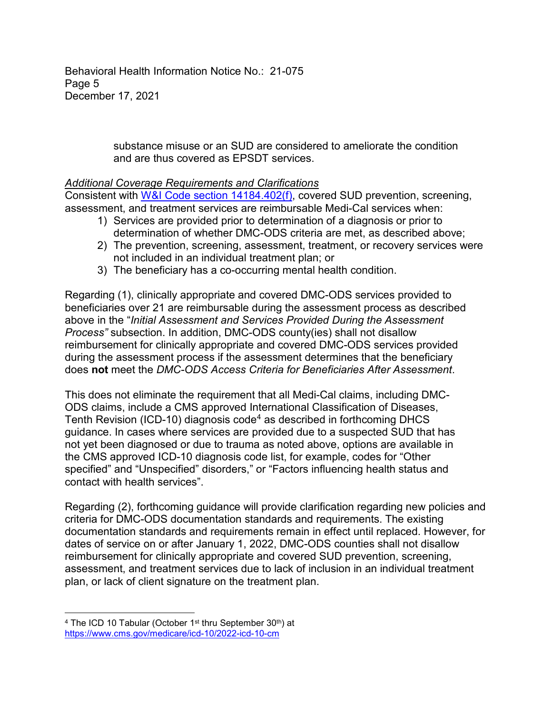Behavioral Health Information Notice No.: 21-075 Page 5 December 17, 2021

> substance misuse or an SUD are considered to ameliorate the condition and are thus covered as EPSDT services.

# *Additional Coverage Requirements and Clarifications*

Consistent with [W&I Code section 14184.402\(f\)](https://casetext.com/statute/california-codes/california-welfare-and-institutions-code/division-9-public-social-services/part-3-aid-and-medical-assistance/chapter-7-basic-health-care/article-551-california-advancing-and-innovating-medi-cal-act/section-14184402-medically-necessary-determinations-for-covered-specialty-mental-health-services-and-substance-use-disorder-services-nonspecialty-mental-health-services-coverage), covered SUD prevention, screening, assessment, and treatment services are reimbursable Medi-Cal services when:

- 1) Services are provided prior to determination of a diagnosis or prior to determination of whether DMC-ODS criteria are met, as described above;
- 2) The prevention, screening, assessment, treatment, or recovery services were not included in an individual treatment plan; or
- 3) The beneficiary has a co-occurring mental health condition.

Regarding (1), clinically appropriate and covered DMC-ODS services provided to beneficiaries over 21 are reimbursable during the assessment process as described above in the "*Initial Assessment and Services Provided During the Assessment Process"* subsection. In addition, DMC-ODS county(ies) shall not disallow reimbursement for clinically appropriate and covered DMC-ODS services provided during the assessment process if the assessment determines that the beneficiary does **not** meet the *DMC-ODS Access Criteria for Beneficiaries After Assessment*.

This does not eliminate the requirement that all Medi-Cal claims, including DMC-ODS claims, include a CMS approved International Classification of Diseases, Tenth Revision (ICD-10) diagnosis code<sup>4</sup> as described in forthcoming DHCS guidance. In cases where services are provided due to a suspected SUD that has not yet been diagnosed or due to trauma as noted above, options are available in the CMS approved ICD-10 diagnosis code list, for example, codes for "Other specified" and "Unspecified" disorders," or "Factors influencing health status and contact with health services".

Regarding (2), forthcoming guidance will provide clarification regarding new policies and criteria for DMC-ODS documentation standards and requirements. The existing documentation standards and requirements remain in effect until replaced. However, for dates of service on or after January 1, 2022, DMC-ODS counties shall not disallow reimbursement for clinically appropriate and covered SUD prevention, screening, assessment, and treatment services due to lack of inclusion in an individual treatment plan, or lack of client signature on the treatment plan.

 $\overline{a}$ <sup>4</sup> The ICD 10 Tabular (October 1<sup>st</sup> thru September 30<sup>th</sup>) at <https://www.cms.gov/medicare/icd-10/2022-icd-10-cm>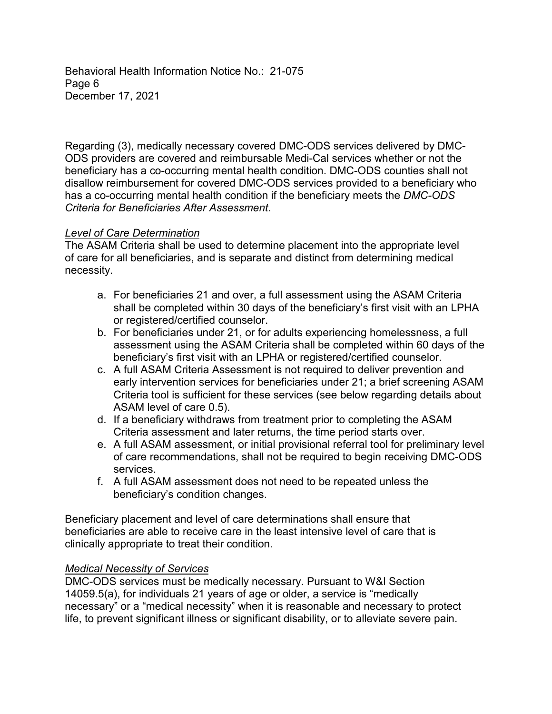Behavioral Health Information Notice No.: 21-075 Page 6 December 17, 2021

Regarding (3), medically necessary covered DMC-ODS services delivered by DMC-ODS providers are covered and reimbursable Medi-Cal services whether or not the beneficiary has a co-occurring mental health condition. DMC-ODS counties shall not disallow reimbursement for covered DMC-ODS services provided to a beneficiary who has a co-occurring mental health condition if the beneficiary meets the *DMC-ODS Criteria for Beneficiaries After Assessment*.

# *Level of Care Determination*

The ASAM Criteria shall be used to determine placement into the appropriate level of care for all beneficiaries, and is separate and distinct from determining medical necessity.

- a. For beneficiaries 21 and over, a full assessment using the ASAM Criteria shall be completed within 30 days of the beneficiary's first visit with an LPHA or registered/certified counselor.
- b. For beneficiaries under 21, or for adults experiencing homelessness, a full assessment using the ASAM Criteria shall be completed within 60 days of the beneficiary's first visit with an LPHA or registered/certified counselor.
- c. A full ASAM Criteria Assessment is not required to deliver prevention and early intervention services for beneficiaries under 21; a brief screening ASAM Criteria tool is sufficient for these services (see below regarding details about ASAM level of care 0.5).
- d. If a beneficiary withdraws from treatment prior to completing the ASAM Criteria assessment and later returns, the time period starts over.
- e. A full ASAM assessment, or initial provisional referral tool for preliminary level of care recommendations, shall not be required to begin receiving DMC-ODS services.
- f. A full ASAM assessment does not need to be repeated unless the beneficiary's condition changes.

Beneficiary placement and level of care determinations shall ensure that beneficiaries are able to receive care in the least intensive level of care that is clinically appropriate to treat their condition.

# *Medical Necessity of Services*

DMC-ODS services must be medically necessary. Pursuant to W&I Section 14059.5(a), for individuals 21 years of age or older, a service is "medically necessary" or a "medical necessity" when it is reasonable and necessary to protect life, to prevent significant illness or significant disability, or to alleviate severe pain.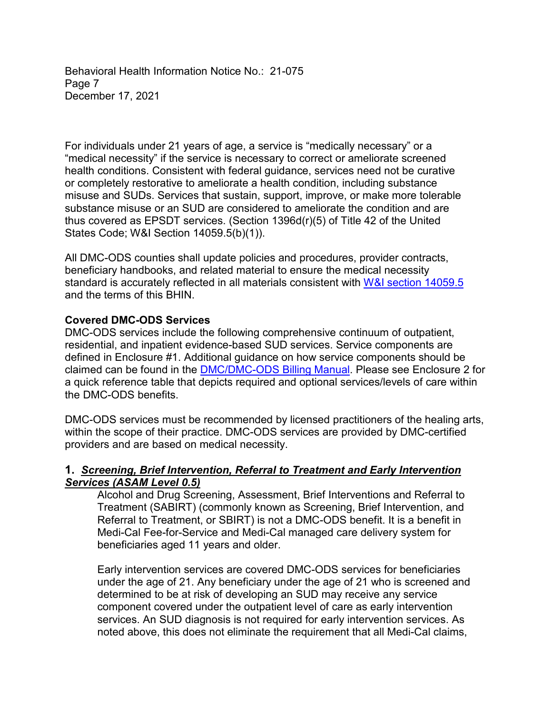Behavioral Health Information Notice No.: 21-075 Page 7 December 17, 2021

For individuals under 21 years of age, a service is "medically necessary" or a "medical necessity" if the service is necessary to correct or ameliorate screened health conditions. Consistent with federal guidance, services need not be curative or completely restorative to ameliorate a health condition, including substance misuse and SUDs. Services that sustain, support, improve, or make more tolerable substance misuse or an SUD are considered to ameliorate the condition and are thus covered as EPSDT services. (Section 1396d(r)(5) of Title 42 of the United States Code; W&I Section 14059.5(b)(1)).

All DMC-ODS counties shall update policies and procedures, provider contracts, beneficiary handbooks, and related material to ensure the medical necessity standard is accurately reflected in all materials consistent with [W&I section 14059.5](https://leginfo.legislature.ca.gov/faces/codes_displaySection.xhtml?sectionNum=14059.5.&lawCode=WIC) and the terms of this BHIN.

### **Covered DMC-ODS Services**

DMC-ODS services include the following comprehensive continuum of outpatient, residential, and inpatient evidence-based SUD services. Service components are defined in Enclosure #1. Additional guidance on how service components should be claimed can be found in the [DMC/DMC-ODS Billing Manual.](https://www.dhcs.ca.gov/provgovpart/Pages/Fiscal_Management.aspx) Please see Enclosure 2 for a quick reference table that depicts required and optional services/levels of care within the DMC-ODS benefits.

DMC-ODS services must be recommended by licensed practitioners of the healing arts, within the scope of their practice. DMC-ODS services are provided by DMC-certified providers and are based on medical necessity.

#### **1.** *Screening, Brief Intervention, Referral to Treatment and Early Intervention Services (ASAM Level 0.5)*

Alcohol and Drug Screening, Assessment, Brief Interventions and Referral to Treatment (SABIRT) (commonly known as Screening, Brief Intervention, and Referral to Treatment, or SBIRT) is not a DMC-ODS benefit. It is a benefit in Medi-Cal Fee-for-Service and Medi-Cal managed care delivery system for beneficiaries aged 11 years and older.

Early intervention services are covered DMC-ODS services for beneficiaries under the age of 21. Any beneficiary under the age of 21 who is screened and determined to be at risk of developing an SUD may receive any service component covered under the outpatient level of care as early intervention services. An SUD diagnosis is not required for early intervention services. As noted above, this does not eliminate the requirement that all Medi-Cal claims,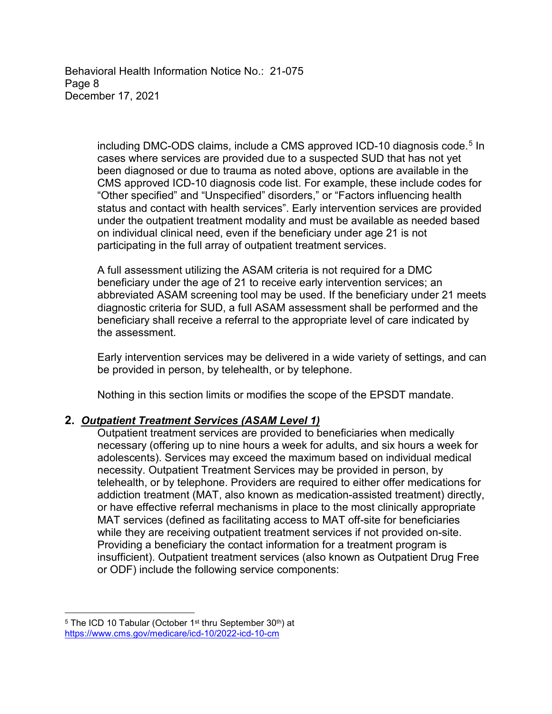Behavioral Health Information Notice No.: 21-075 Page 8 December 17, 2021

> including DMC-ODS claims, include a CMS approved ICD-10 diagnosis code.<sup>5</sup> In cases where services are provided due to a suspected SUD that has not yet been diagnosed or due to trauma as noted above, options are available in the CMS approved ICD-10 diagnosis code list. For example, these include codes for "Other specified" and "Unspecified" disorders," or "Factors influencing health status and contact with health services". Early intervention services are provided under the outpatient treatment modality and must be available as needed based on individual clinical need, even if the beneficiary under age 21 is not participating in the full array of outpatient treatment services.

> A full assessment utilizing the ASAM criteria is not required for a DMC beneficiary under the age of 21 to receive early intervention services; an abbreviated ASAM screening tool may be used. If the beneficiary under 21 meets diagnostic criteria for SUD, a full ASAM assessment shall be performed and the beneficiary shall receive a referral to the appropriate level of care indicated by the assessment.

> Early intervention services may be delivered in a wide variety of settings, and can be provided in person, by telehealth, or by telephone.

Nothing in this section limits or modifies the scope of the EPSDT mandate.

# **2.** *Outpatient Treatment Services (ASAM Level 1)*

Outpatient treatment services are provided to beneficiaries when medically necessary (offering up to nine hours a week for adults, and six hours a week for adolescents). Services may exceed the maximum based on individual medical necessity. Outpatient Treatment Services may be provided in person, by telehealth, or by telephone. Providers are required to either offer medications for addiction treatment (MAT, also known as medication-assisted treatment) directly, or have effective referral mechanisms in place to the most clinically appropriate MAT services (defined as facilitating access to MAT off-site for beneficiaries while they are receiving outpatient treatment services if not provided on-site. Providing a beneficiary the contact information for a treatment program is insufficient). Outpatient treatment services (also known as Outpatient Drug Free or ODF) include the following service components:

 $\overline{a}$ <sup>5</sup> The ICD 10 Tabular (October 1<sup>st</sup> thru September 30<sup>th</sup>) at <https://www.cms.gov/medicare/icd-10/2022-icd-10-cm>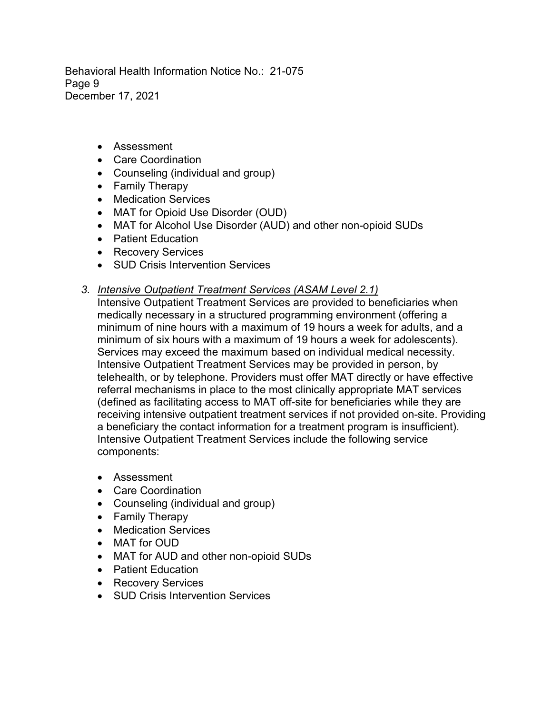Behavioral Health Information Notice No.: 21-075 Page 9 December 17, 2021

- Assessment
- Care Coordination
- Counseling (individual and group)
- Family Therapy
- Medication Services
- MAT for Opioid Use Disorder (OUD)
- MAT for Alcohol Use Disorder (AUD) and other non-opioid SUDs
- Patient Education
- Recovery Services
- SUD Crisis Intervention Services
- *3. Intensive Outpatient Treatment Services (ASAM Level 2.1)*
	- Intensive Outpatient Treatment Services are provided to beneficiaries when medically necessary in a structured programming environment (offering a minimum of nine hours with a maximum of 19 hours a week for adults, and a minimum of six hours with a maximum of 19 hours a week for adolescents). Services may exceed the maximum based on individual medical necessity. Intensive Outpatient Treatment Services may be provided in person, by telehealth, or by telephone. Providers must offer MAT directly or have effective referral mechanisms in place to the most clinically appropriate MAT services (defined as facilitating access to MAT off-site for beneficiaries while they are receiving intensive outpatient treatment services if not provided on-site. Providing a beneficiary the contact information for a treatment program is insufficient). Intensive Outpatient Treatment Services include the following service components:
	- Assessment
	- Care Coordination
	- Counseling (individual and group)
	- Family Therapy
	- Medication Services
	- MAT for OUD
	- MAT for AUD and other non-opioid SUDs
	- Patient Education
	- Recovery Services
	- SUD Crisis Intervention Services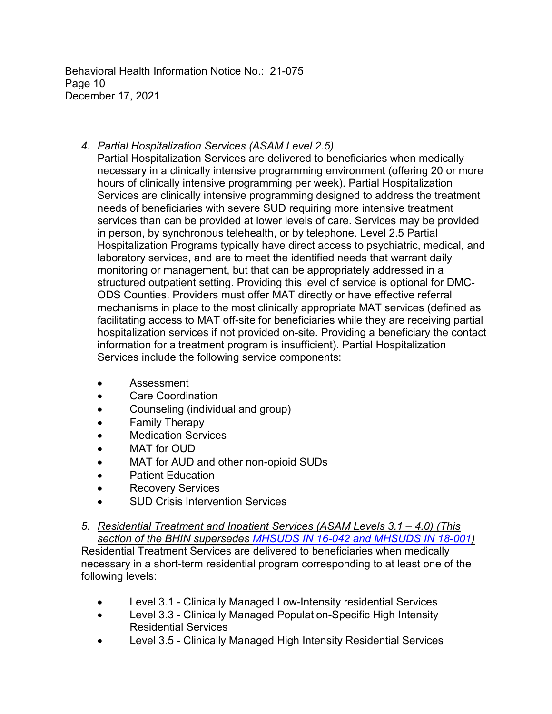Behavioral Health Information Notice No.: 21-075 Page 10 December 17, 2021

# *4. Partial Hospitalization Services (ASAM Level 2.5)*

Partial Hospitalization Services are delivered to beneficiaries when medically necessary in a clinically intensive programming environment (offering 20 or more hours of clinically intensive programming per week). Partial Hospitalization Services are clinically intensive programming designed to address the treatment needs of beneficiaries with severe SUD requiring more intensive treatment services than can be provided at lower levels of care. Services may be provided in person, by synchronous telehealth, or by telephone. Level 2.5 Partial Hospitalization Programs typically have direct access to psychiatric, medical, and laboratory services, and are to meet the identified needs that warrant daily monitoring or management, but that can be appropriately addressed in a structured outpatient setting. Providing this level of service is optional for DMC-ODS Counties. Providers must offer MAT directly or have effective referral mechanisms in place to the most clinically appropriate MAT services (defined as facilitating access to MAT off-site for beneficiaries while they are receiving partial hospitalization services if not provided on-site. Providing a beneficiary the contact information for a treatment program is insufficient). Partial Hospitalization Services include the following service components:

- Assessment
- Care Coordination
- Counseling (individual and group)
- Family Therapy
- Medication Services
- MAT for OUD
- MAT for AUD and other non-opioid SUDs
- Patient Education
- Recovery Services
- **SUD Crisis Intervention Services**

*5. Residential Treatment and Inpatient Services (ASAM Levels 3.1 – 4.0) (This section of the BHIN supersedes [MHSUDS IN 16-042](https://www.dhcs.ca.gov/formsandpubs/Documents/MHSUDS-IN-16-042.pdf) and [MHSUDS IN 18-001\)](https://www.dhcs.ca.gov/formsandpubs/Documents/MHSUDS%20Information%20Notices/MHSUDS_Info_Notice_18-001-Residential_Reimbursement.pdf)* Residential Treatment Services are delivered to beneficiaries when medically necessary in a short-term residential program corresponding to at least one of the following levels:

- Level 3.1 Clinically Managed Low-Intensity residential Services
- Level 3.3 Clinically Managed Population-Specific High Intensity Residential Services
- Level 3.5 Clinically Managed High Intensity Residential Services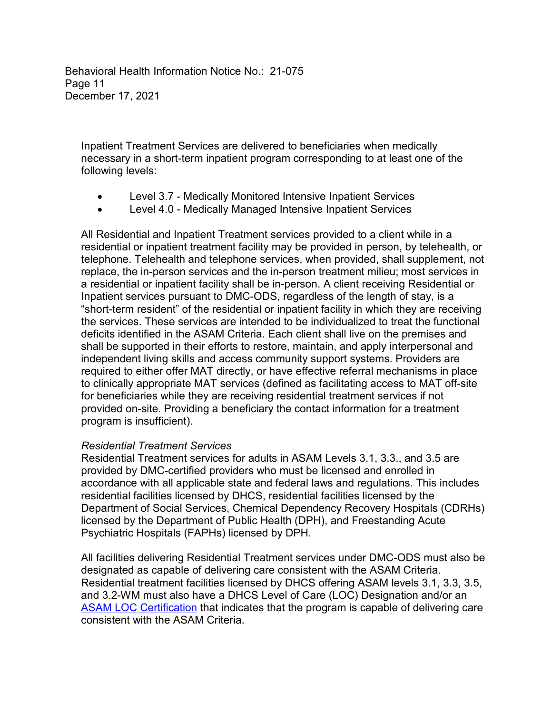Behavioral Health Information Notice No.: 21-075 Page 11 December 17, 2021

Inpatient Treatment Services are delivered to beneficiaries when medically necessary in a short-term inpatient program corresponding to at least one of the following levels:

- Level 3.7 Medically Monitored Intensive Inpatient Services
- Level 4.0 Medically Managed Intensive Inpatient Services

All Residential and Inpatient Treatment services provided to a client while in a residential or inpatient treatment facility may be provided in person, by telehealth, or telephone. Telehealth and telephone services, when provided, shall supplement, not replace, the in-person services and the in-person treatment milieu; most services in a residential or inpatient facility shall be in-person. A client receiving Residential or Inpatient services pursuant to DMC-ODS, regardless of the length of stay, is a "short-term resident" of the residential or inpatient facility in which they are receiving the services. These services are intended to be individualized to treat the functional deficits identified in the ASAM Criteria. Each client shall live on the premises and shall be supported in their efforts to restore, maintain, and apply interpersonal and independent living skills and access community support systems. Providers are required to either offer MAT directly, or have effective referral mechanisms in place to clinically appropriate MAT services (defined as facilitating access to MAT off-site for beneficiaries while they are receiving residential treatment services if not provided on-site. Providing a beneficiary the contact information for a treatment program is insufficient).

#### *Residential Treatment Services*

Residential Treatment services for adults in ASAM Levels 3.1, 3.3., and 3.5 are provided by DMC-certified providers who must be licensed and enrolled in accordance with all applicable state and federal laws and regulations. This includes residential facilities licensed by DHCS, residential facilities licensed by the Department of Social Services, Chemical Dependency Recovery Hospitals (CDRHs) licensed by the Department of Public Health (DPH), and Freestanding Acute Psychiatric Hospitals (FAPHs) licensed by DPH.

All facilities delivering Residential Treatment services under DMC-ODS must also be designated as capable of delivering care consistent with the ASAM Criteria. Residential treatment facilities licensed by DHCS offering ASAM levels 3.1, 3.3, 3.5, and 3.2-WM must also have a DHCS Level of Care (LOC) Designation and/or an [ASAM LOC Certification](https://www.asam.org/asam-criteria/level-of-care-certification) that indicates that the program is capable of delivering care consistent with the ASAM Criteria.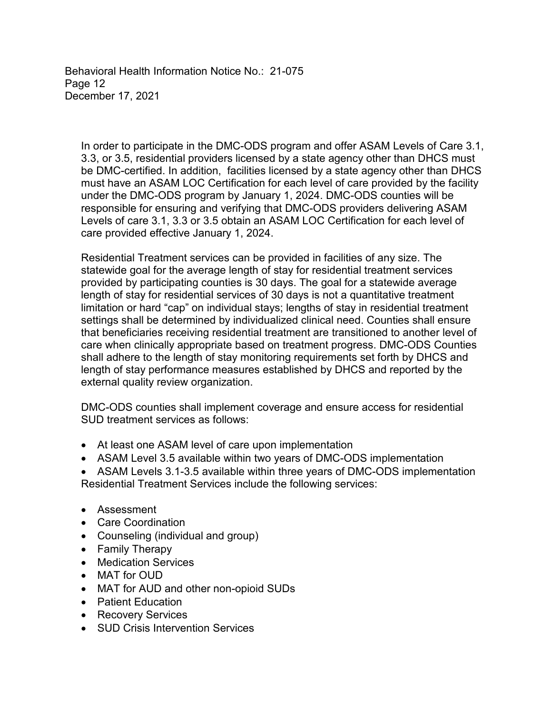Behavioral Health Information Notice No.: 21-075 Page 12 December 17, 2021

In order to participate in the DMC-ODS program and offer ASAM Levels of Care 3.1, 3.3, or 3.5, residential providers licensed by a state agency other than DHCS must be DMC-certified. In addition, facilities licensed by a state agency other than DHCS must have an ASAM LOC Certification for each level of care provided by the facility under the DMC-ODS program by January 1, 2024. DMC-ODS counties will be responsible for ensuring and verifying that DMC-ODS providers delivering ASAM Levels of care 3.1, 3.3 or 3.5 obtain an ASAM LOC Certification for each level of care provided effective January 1, 2024.

Residential Treatment services can be provided in facilities of any size. The statewide goal for the average length of stay for residential treatment services provided by participating counties is 30 days. The goal for a statewide average length of stay for residential services of 30 days is not a quantitative treatment limitation or hard "cap" on individual stays; lengths of stay in residential treatment settings shall be determined by individualized clinical need. Counties shall ensure that beneficiaries receiving residential treatment are transitioned to another level of care when clinically appropriate based on treatment progress. DMC-ODS Counties shall adhere to the length of stay monitoring requirements set forth by DHCS and length of stay performance measures established by DHCS and reported by the external quality review organization.

DMC-ODS counties shall implement coverage and ensure access for residential SUD treatment services as follows:

- At least one ASAM level of care upon implementation
- ASAM Level 3.5 available within two years of DMC-ODS implementation
- ASAM Levels 3.1-3.5 available within three years of DMC-ODS implementation Residential Treatment Services include the following services:
- Assessment
- Care Coordination
- Counseling (individual and group)
- Family Therapy
- Medication Services
- MAT for OUD
- MAT for AUD and other non-opioid SUDs
- Patient Education
- Recovery Services
- SUD Crisis Intervention Services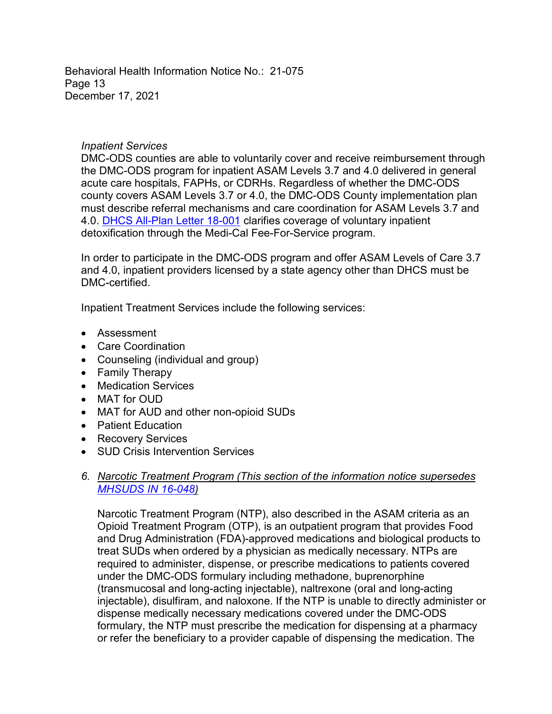Behavioral Health Information Notice No.: 21-075 Page 13 December 17, 2021

#### *Inpatient Services*

DMC-ODS counties are able to voluntarily cover and receive reimbursement through the DMC-ODS program for inpatient ASAM Levels 3.7 and 4.0 delivered in general acute care hospitals, FAPHs, or CDRHs. Regardless of whether the DMC-ODS county covers ASAM Levels 3.7 or 4.0, the DMC-ODS County implementation plan must describe referral mechanisms and care coordination for ASAM Levels 3.7 and 4.0. DHCS [All-Plan Letter 18-001](https://www.dhcs.ca.gov/formsandpubs/Documents/MMCDAPLsandPolicyLetters/APL2018/APL18-001.pdf) clarifies coverage of voluntary inpatient detoxification through the Medi-Cal Fee-For-Service program.

In order to participate in the DMC-ODS program and offer ASAM Levels of Care 3.7 and 4.0, inpatient providers licensed by a state agency other than DHCS must be DMC-certified.

Inpatient Treatment Services include the following services:

- Assessment
- Care Coordination
- Counseling (individual and group)
- Family Therapy
- Medication Services
- MAT for OUD
- MAT for AUD and other non-opioid SUDs
- Patient Education
- Recovery Services
- SUD Crisis Intervention Services

# *6. Narcotic Treatment Program (This section of the information notice supersedes [MHSUDS IN 16-048](https://www.dhcs.ca.gov/formsandpubs/ADPBulletins/MHSUDS-IN_16-048-MAT_NTPS_WAIVER.pdf))*

Narcotic Treatment Program (NTP), also described in the ASAM criteria as an Opioid Treatment Program (OTP), is an outpatient program that provides Food and Drug Administration (FDA)-approved medications and biological products to treat SUDs when ordered by a physician as medically necessary. NTPs are required to administer, dispense, or prescribe medications to patients covered under the DMC-ODS formulary including methadone, buprenorphine (transmucosal and long-acting injectable), naltrexone (oral and long-acting injectable), disulfiram, and naloxone. If the NTP is unable to directly administer or dispense medically necessary medications covered under the DMC-ODS formulary, the NTP must prescribe the medication for dispensing at a pharmacy or refer the beneficiary to a provider capable of dispensing the medication. The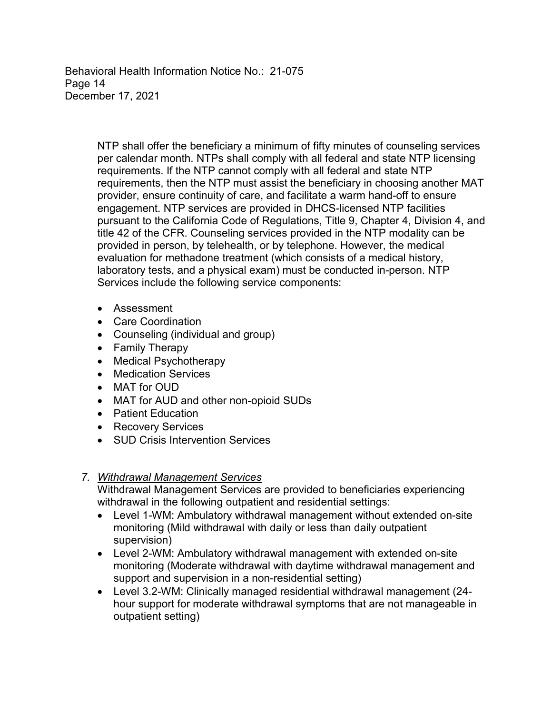Behavioral Health Information Notice No.: 21-075 Page 14 December 17, 2021

> NTP shall offer the beneficiary a minimum of fifty minutes of counseling services per calendar month. NTPs shall comply with all federal and state NTP licensing requirements. If the NTP cannot comply with all federal and state NTP requirements, then the NTP must assist the beneficiary in choosing another MAT provider, ensure continuity of care, and facilitate a warm hand-off to ensure engagement. NTP services are provided in DHCS-licensed NTP facilities pursuant to the California Code of Regulations, Title 9, Chapter 4, Division 4, and title 42 of the CFR. Counseling services provided in the NTP modality can be provided in person, by telehealth, or by telephone. However, the medical evaluation for methadone treatment (which consists of a medical history, laboratory tests, and a physical exam) must be conducted in-person. NTP Services include the following service components:

- Assessment
- Care Coordination
- Counseling (individual and group)
- Family Therapy
- Medical Psychotherapy
- Medication Services
- MAT for OUD
- MAT for AUD and other non-opioid SUDs
- Patient Education
- Recovery Services
- SUD Crisis Intervention Services

# *7. Withdrawal Management Services*

Withdrawal Management Services are provided to beneficiaries experiencing withdrawal in the following outpatient and residential settings:

- Level 1-WM: Ambulatory withdrawal management without extended on-site monitoring (Mild withdrawal with daily or less than daily outpatient supervision)
- Level 2-WM: Ambulatory withdrawal management with extended on-site monitoring (Moderate withdrawal with daytime withdrawal management and support and supervision in a non-residential setting)
- Level 3.2-WM: Clinically managed residential withdrawal management (24 hour support for moderate withdrawal symptoms that are not manageable in outpatient setting)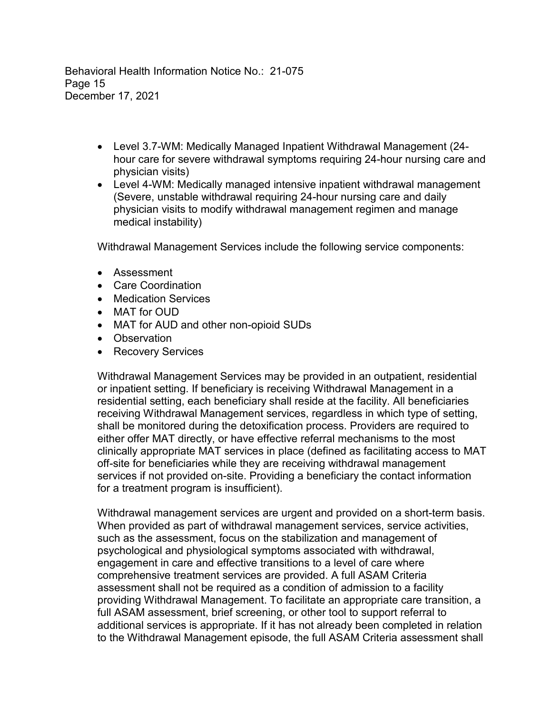Behavioral Health Information Notice No.: 21-075 Page 15 December 17, 2021

- Level 3.7-WM: Medically Managed Inpatient Withdrawal Management (24 hour care for severe withdrawal symptoms requiring 24-hour nursing care and physician visits)
- Level 4-WM: Medically managed intensive inpatient withdrawal management (Severe, unstable withdrawal requiring 24-hour nursing care and daily physician visits to modify withdrawal management regimen and manage medical instability)

Withdrawal Management Services include the following service components:

- Assessment
- Care Coordination
- Medication Services
- MAT for OUD
- MAT for AUD and other non-opioid SUDs
- Observation
- Recovery Services

Withdrawal Management Services may be provided in an outpatient, residential or inpatient setting. If beneficiary is receiving Withdrawal Management in a residential setting, each beneficiary shall reside at the facility. All beneficiaries receiving Withdrawal Management services, regardless in which type of setting, shall be monitored during the detoxification process. Providers are required to either offer MAT directly, or have effective referral mechanisms to the most clinically appropriate MAT services in place (defined as facilitating access to MAT off-site for beneficiaries while they are receiving withdrawal management services if not provided on-site. Providing a beneficiary the contact information for a treatment program is insufficient).

Withdrawal management services are urgent and provided on a short-term basis. When provided as part of withdrawal management services, service activities, such as the assessment, focus on the stabilization and management of psychological and physiological symptoms associated with withdrawal, engagement in care and effective transitions to a level of care where comprehensive treatment services are provided. A full ASAM Criteria assessment shall not be required as a condition of admission to a facility providing Withdrawal Management. To facilitate an appropriate care transition, a full ASAM assessment, brief screening, or other tool to support referral to additional services is appropriate. If it has not already been completed in relation to the Withdrawal Management episode, the full ASAM Criteria assessment shall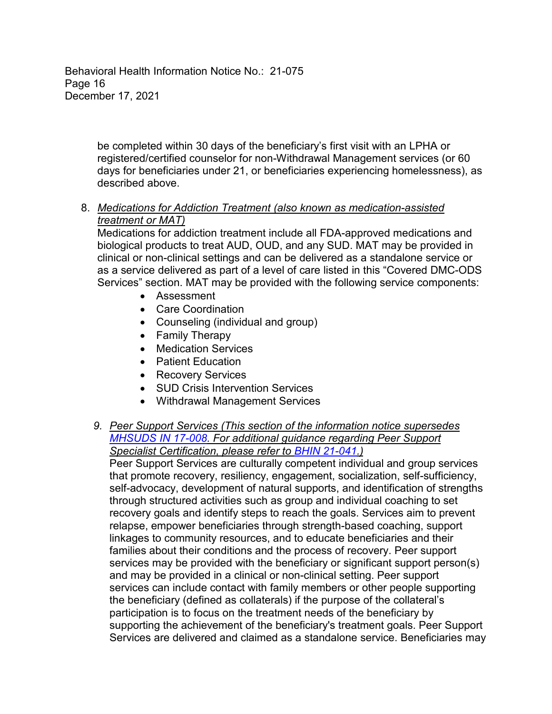Behavioral Health Information Notice No.: 21-075 Page 16 December 17, 2021

> be completed within 30 days of the beneficiary's first visit with an LPHA or registered/certified counselor for non-Withdrawal Management services (or 60 days for beneficiaries under 21, or beneficiaries experiencing homelessness), as described above.

# 8. *Medications for Addiction Treatment (also known as medication-assisted treatment or MAT)*

Medications for addiction treatment include all FDA-approved medications and biological products to treat AUD, OUD, and any SUD. MAT may be provided in clinical or non-clinical settings and can be delivered as a standalone service or as a service delivered as part of a level of care listed in this "Covered DMC-ODS Services" section. MAT may be provided with the following service components:

- Assessment
- Care Coordination
- Counseling (individual and group)
- Family Therapy
- Medication Services
- Patient Education
- Recovery Services
- SUD Crisis Intervention Services
- Withdrawal Management Services
- *9. Peer Support Services (This section of the information notice supersedes [MHSUDS IN 17-008.](https://www.dhcs.ca.gov/provgovpart/Documents/DMC-ODS_Waiver/MHSUDS_Information_Notice_17-008_ODS_Peer_Support_Services.pdf) For additional guidance regarding Peer Support Specialist Certification, please refer to [BHIN 21-041.](https://www.dhcs.ca.gov/Documents/CSD_BL/BHIN-21-041.pdf))*

Peer Support Services are culturally competent individual and group services that promote recovery, resiliency, engagement, socialization, self-sufficiency, self-advocacy, development of natural supports, and identification of strengths through structured activities such as group and individual coaching to set recovery goals and identify steps to reach the goals. Services aim to prevent relapse, empower beneficiaries through strength-based coaching, support linkages to community resources, and to educate beneficiaries and their families about their conditions and the process of recovery. Peer support services may be provided with the beneficiary or significant support person(s) and may be provided in a clinical or non-clinical setting. Peer support services can include contact with family members or other people supporting the beneficiary (defined as collaterals) if the purpose of the collateral's participation is to focus on the treatment needs of the beneficiary by supporting the achievement of the beneficiary's treatment goals. Peer Support Services are delivered and claimed as a standalone service. Beneficiaries may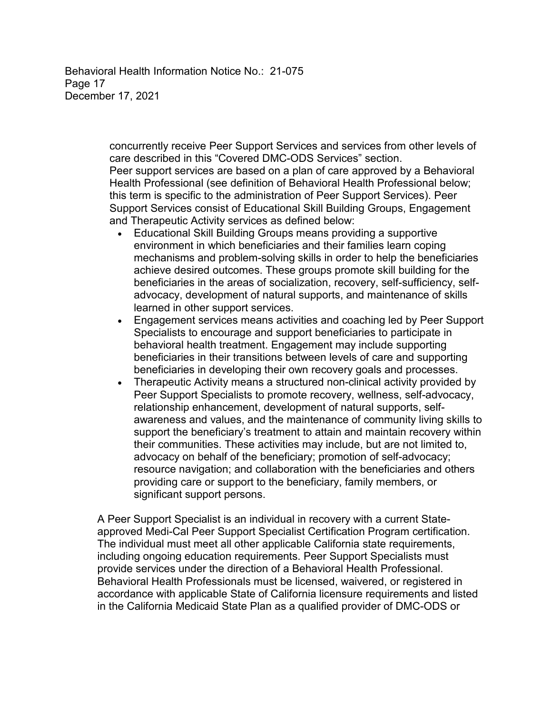Behavioral Health Information Notice No.: 21-075 Page 17 December 17, 2021

> concurrently receive Peer Support Services and services from other levels of care described in this "Covered DMC-ODS Services" section. Peer support services are based on a plan of care approved by a Behavioral

Health Professional (see definition of Behavioral Health Professional below; this term is specific to the administration of Peer Support Services). Peer Support Services consist of Educational Skill Building Groups, Engagement and Therapeutic Activity services as defined below:

- Educational Skill Building Groups means providing a supportive environment in which beneficiaries and their families learn coping mechanisms and problem-solving skills in order to help the beneficiaries achieve desired outcomes. These groups promote skill building for the beneficiaries in the areas of socialization, recovery, self-sufficiency, selfadvocacy, development of natural supports, and maintenance of skills learned in other support services.
- Engagement services means activities and coaching led by Peer Support Specialists to encourage and support beneficiaries to participate in behavioral health treatment. Engagement may include supporting beneficiaries in their transitions between levels of care and supporting beneficiaries in developing their own recovery goals and processes.
- Therapeutic Activity means a structured non-clinical activity provided by Peer Support Specialists to promote recovery, wellness, self-advocacy, relationship enhancement, development of natural supports, selfawareness and values, and the maintenance of community living skills to support the beneficiary's treatment to attain and maintain recovery within their communities. These activities may include, but are not limited to, advocacy on behalf of the beneficiary; promotion of self-advocacy; resource navigation; and collaboration with the beneficiaries and others providing care or support to the beneficiary, family members, or significant support persons.

A Peer Support Specialist is an individual in recovery with a current Stateapproved Medi-Cal Peer Support Specialist Certification Program certification. The individual must meet all other applicable California state requirements, including ongoing education requirements. Peer Support Specialists must provide services under the direction of a Behavioral Health Professional. Behavioral Health Professionals must be licensed, waivered, or registered in accordance with applicable State of California licensure requirements and listed in the California Medicaid State Plan as a qualified provider of DMC-ODS or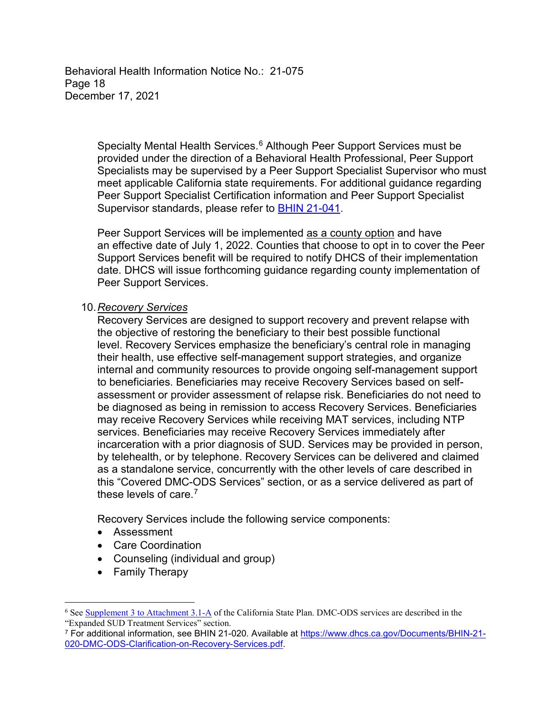Behavioral Health Information Notice No.: 21-075 Page 18 December 17, 2021

> Specialty Mental Health Services. <sup>6</sup> Although Peer Support Services must be provided under the direction of a Behavioral Health Professional, Peer Support Specialists may be supervised by a Peer Support Specialist Supervisor who must meet applicable California state requirements. For additional guidance regarding Peer Support Specialist Certification information and Peer Support Specialist Supervisor standards, please refer to [BHIN 21-041.](https://www.dhcs.ca.gov/Documents/CSD_BL/BHIN-21-041.pdf)

> Peer Support Services will be implemented as a county option and have an effective date of July 1, 2022. Counties that choose to opt in to cover the Peer Support Services benefit will be required to notify DHCS of their implementation date. DHCS will issue forthcoming guidance regarding county implementation of Peer Support Services.

10.*Recovery Services*

Recovery Services are designed to support recovery and prevent relapse with the objective of restoring the beneficiary to their best possible functional level. Recovery Services emphasize the beneficiary's central role in managing their health, use effective self-management support strategies, and organize internal and community resources to provide ongoing self-management support to beneficiaries. Beneficiaries may receive Recovery Services based on selfassessment or provider assessment of relapse risk. Beneficiaries do not need to be diagnosed as being in remission to access Recovery Services. Beneficiaries may receive Recovery Services while receiving MAT services, including NTP services. Beneficiaries may receive Recovery Services immediately after incarceration with a prior diagnosis of SUD. Services may be provided in person, by telehealth, or by telephone. Recovery Services can be delivered and claimed as a standalone service, concurrently with the other levels of care described in this "Covered DMC-ODS Services" section, or as a service delivered as part of these levels of care. 7

Recovery Services include the following service components:

- Assessment
- Care Coordination
- Counseling (individual and group)
- Family Therapy

 $\overline{a}$ 

<sup>6</sup> See [Supplement 3 to Attachment 3.1-A](https://www.dhcs.ca.gov/formsandpubs/laws/Documents/Supplement_3_to_Attachment_3.1-A.pdf) of the California State Plan. DMC-ODS services are described in the "Expanded SUD Treatment Services" section.

<sup>7</sup> For additional information, see BHIN 21-020. Available at [https://www.dhcs.ca.gov/Documents/BHIN-21-](https://www.dhcs.ca.gov/Documents/BHIN-21-020-DMC-ODS-Clarification-on-Recovery-Services.pdf) [020-DMC-ODS-Clarification-on-Recovery-Services.pdf.](https://www.dhcs.ca.gov/Documents/BHIN-21-020-DMC-ODS-Clarification-on-Recovery-Services.pdf)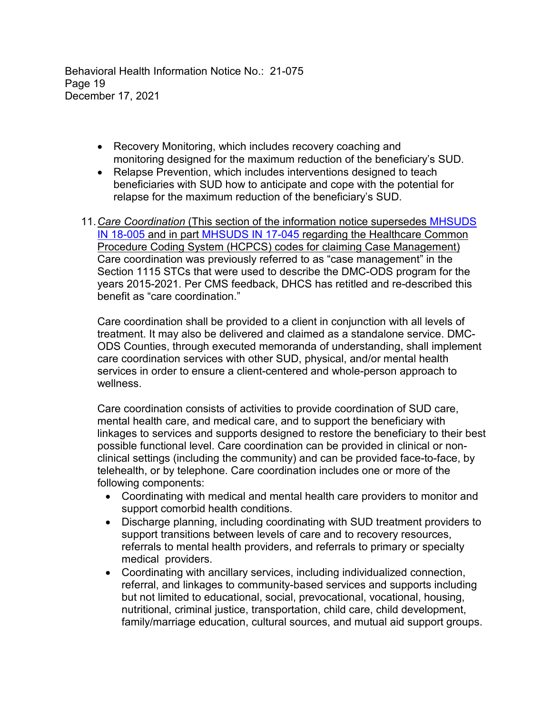Behavioral Health Information Notice No.: 21-075 Page 19 December 17, 2021

- Recovery Monitoring, which includes recovery coaching and monitoring designed for the maximum reduction of the beneficiary's SUD.
- Relapse Prevention, which includes interventions designed to teach beneficiaries with SUD how to anticipate and cope with the potential for relapse for the maximum reduction of the beneficiary's SUD.
- 11.*Care Coordination* (This section of the information notice supersedes [MHSUDS](https://www.dhcs.ca.gov/provgovpart/Documents/MHSUDS-Information-Notice-18-005.pdf) [IN 18-005](https://www.dhcs.ca.gov/provgovpart/Documents/MHSUDS-Information-Notice-18-005.pdf) and in part [MHSUDS IN 17-045](https://www.dhcs.ca.gov/formsandpubs/Documents/MHSUDS%20Information%20Notices/MHSUDS_Information_Notice_17-045.pdf) regarding the Healthcare Common Procedure Coding System (HCPCS) codes for claiming Case Management) Care coordination was previously referred to as "case management" in the Section 1115 STCs that were used to describe the DMC-ODS program for the years 2015-2021. Per CMS feedback, DHCS has retitled and re-described this benefit as "care coordination."

Care coordination shall be provided to a client in conjunction with all levels of treatment. It may also be delivered and claimed as a standalone service. DMC-ODS Counties, through executed memoranda of understanding, shall implement care coordination services with other SUD, physical, and/or mental health services in order to ensure a client-centered and whole-person approach to wellness.

Care coordination consists of activities to provide coordination of SUD care, mental health care, and medical care, and to support the beneficiary with linkages to services and supports designed to restore the beneficiary to their best possible functional level. Care coordination can be provided in clinical or nonclinical settings (including the community) and can be provided face-to-face, by telehealth, or by telephone. Care coordination includes one or more of the following components:

- Coordinating with medical and mental health care providers to monitor and support comorbid health conditions.
- Discharge planning, including coordinating with SUD treatment providers to support transitions between levels of care and to recovery resources, referrals to mental health providers, and referrals to primary or specialty medical providers.
- Coordinating with ancillary services, including individualized connection, referral, and linkages to community-based services and supports including but not limited to educational, social, prevocational, vocational, housing, nutritional, criminal justice, transportation, child care, child development, family/marriage education, cultural sources, and mutual aid support groups.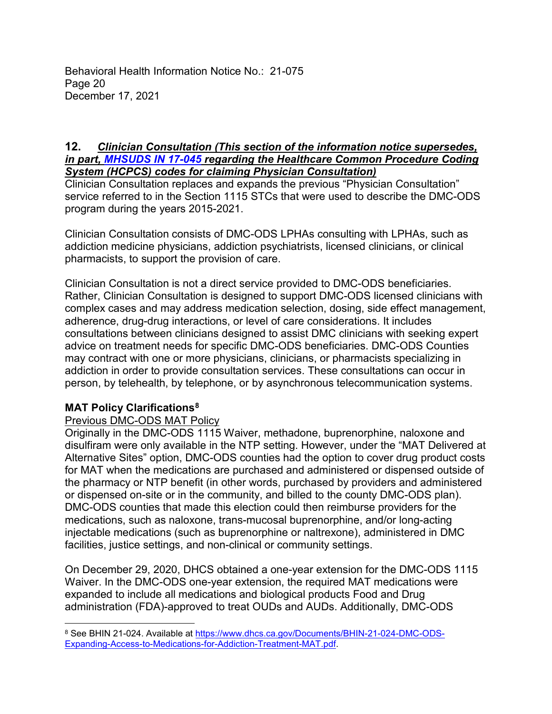Behavioral Health Information Notice No.: 21-075 Page 20 December 17, 2021

#### **12.** *Clinician Consultation (This section of the information notice supersedes, in part, [MHSUDS IN 17-045](https://www.dhcs.ca.gov/formsandpubs/Documents/MHSUDS%20Information%20Notices/MHSUDS_Information_Notice_17-045.pdf) regarding the Healthcare Common Procedure Coding System (HCPCS) codes for claiming Physician Consultation)*

Clinician Consultation replaces and expands the previous "Physician Consultation" service referred to in the Section 1115 STCs that were used to describe the DMC-ODS program during the years 2015-2021.

Clinician Consultation consists of DMC-ODS LPHAs consulting with LPHAs, such as addiction medicine physicians, addiction psychiatrists, licensed clinicians, or clinical pharmacists, to support the provision of care.

Clinician Consultation is not a direct service provided to DMC-ODS beneficiaries. Rather, Clinician Consultation is designed to support DMC-ODS licensed clinicians with complex cases and may address medication selection, dosing, side effect management, adherence, drug-drug interactions, or level of care considerations. It includes consultations between clinicians designed to assist DMC clinicians with seeking expert advice on treatment needs for specific DMC-ODS beneficiaries. DMC-ODS Counties may contract with one or more physicians, clinicians, or pharmacists specializing in addiction in order to provide consultation services. These consultations can occur in person, by telehealth, by telephone, or by asynchronous telecommunication systems.

# **MAT Policy Clarifications8**

 $\overline{a}$ 

# Previous DMC-ODS MAT Policy

Originally in the DMC-ODS 1115 Waiver, methadone, buprenorphine, naloxone and disulfiram were only available in the NTP setting. However, under the "MAT Delivered at Alternative Sites" option, DMC-ODS counties had the option to cover drug product costs for MAT when the medications are purchased and administered or dispensed outside of the pharmacy or NTP benefit (in other words, purchased by providers and administered or dispensed on-site or in the community, and billed to the county DMC-ODS plan). DMC-ODS counties that made this election could then reimburse providers for the medications, such as naloxone, trans-mucosal buprenorphine, and/or long-acting injectable medications (such as buprenorphine or naltrexone), administered in DMC facilities, justice settings, and non-clinical or community settings.

On December 29, 2020, DHCS obtained a one-year extension for the DMC-ODS 1115 Waiver. In the DMC-ODS one-year extension, the required MAT medications were expanded to include all medications and biological products Food and Drug administration (FDA)-approved to treat OUDs and AUDs. Additionally, DMC-ODS

<sup>&</sup>lt;sup>8</sup> See BHIN 21-024. Available at [https://www.dhcs.ca.gov/Documents/BHIN-21-024-DMC-ODS-](https://www.dhcs.ca.gov/Documents/BHIN-21-024-DMC-ODS-Expanding-Access-to-Medications-for-Addiction-Treatment-MAT.pdf)[Expanding-Access-to-Medications-for-Addiction-Treatment-MAT.pdf.](https://www.dhcs.ca.gov/Documents/BHIN-21-024-DMC-ODS-Expanding-Access-to-Medications-for-Addiction-Treatment-MAT.pdf)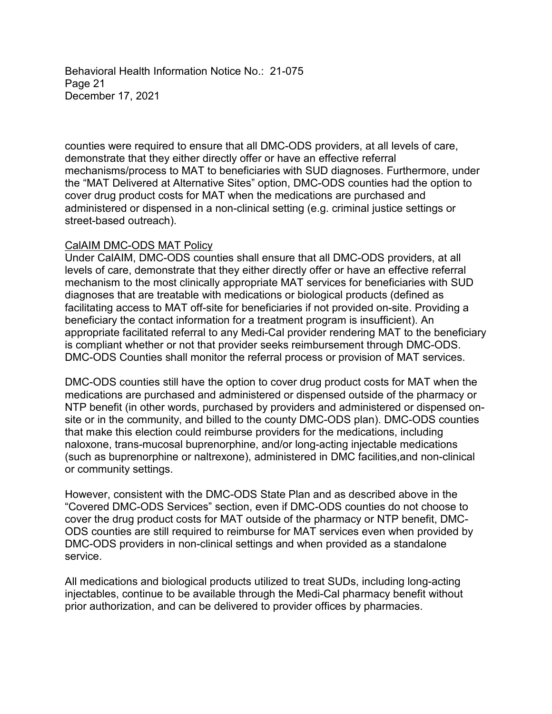Behavioral Health Information Notice No.: 21-075 Page 21 December 17, 2021

counties were required to ensure that all DMC-ODS providers, at all levels of care, demonstrate that they either directly offer or have an effective referral mechanisms/process to MAT to beneficiaries with SUD diagnoses. Furthermore, under the "MAT Delivered at Alternative Sites" option, DMC-ODS counties had the option to cover drug product costs for MAT when the medications are purchased and administered or dispensed in a non-clinical setting (e.g. criminal justice settings or street-based outreach).

#### CalAIM DMC-ODS MAT Policy

Under CalAIM, DMC-ODS counties shall ensure that all DMC-ODS providers, at all levels of care, demonstrate that they either directly offer or have an effective referral mechanism to the most clinically appropriate MAT services for beneficiaries with SUD diagnoses that are treatable with medications or biological products (defined as facilitating access to MAT off-site for beneficiaries if not provided on-site. Providing a beneficiary the contact information for a treatment program is insufficient). An appropriate facilitated referral to any Medi-Cal provider rendering MAT to the beneficiary is compliant whether or not that provider seeks reimbursement through DMC-ODS. DMC-ODS Counties shall monitor the referral process or provision of MAT services.

DMC-ODS counties still have the option to cover drug product costs for MAT when the medications are purchased and administered or dispensed outside of the pharmacy or NTP benefit (in other words, purchased by providers and administered or dispensed onsite or in the community, and billed to the county DMC-ODS plan). DMC-ODS counties that make this election could reimburse providers for the medications, including naloxone, trans-mucosal buprenorphine, and/or long-acting injectable medications (such as buprenorphine or naltrexone), administered in DMC facilities,and non-clinical or community settings.

However, consistent with the DMC-ODS State Plan and as described above in the "Covered DMC-ODS Services" section, even if DMC-ODS counties do not choose to cover the drug product costs for MAT outside of the pharmacy or NTP benefit, DMC-ODS counties are still required to reimburse for MAT services even when provided by DMC-ODS providers in non-clinical settings and when provided as a standalone service.

All medications and biological products utilized to treat SUDs, including long-acting injectables, continue to be available through the Medi-Cal pharmacy benefit without prior authorization, and can be delivered to provider offices by pharmacies.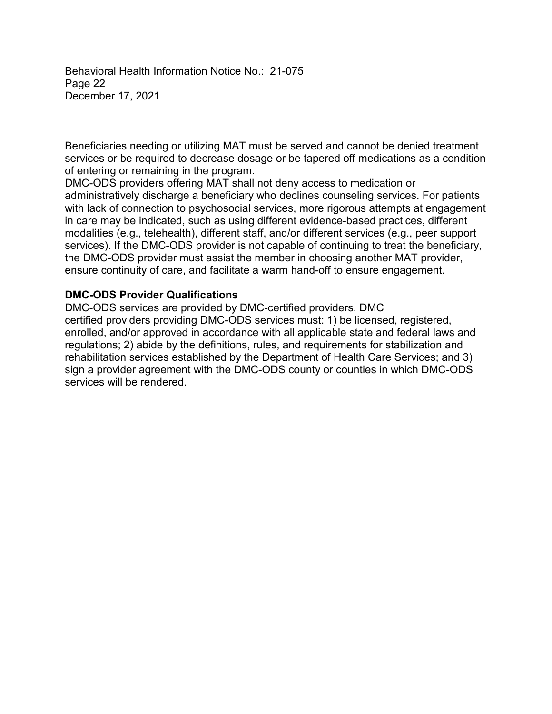Behavioral Health Information Notice No.: 21-075 Page 22 December 17, 2021

Beneficiaries needing or utilizing MAT must be served and cannot be denied treatment services or be required to decrease dosage or be tapered off medications as a condition of entering or remaining in the program.

DMC-ODS providers offering MAT shall not deny access to medication or administratively discharge a beneficiary who declines counseling services. For patients with lack of connection to psychosocial services, more rigorous attempts at engagement in care may be indicated, such as using different evidence-based practices, different modalities (e.g., telehealth), different staff, and/or different services (e.g., peer support services). If the DMC-ODS provider is not capable of continuing to treat the beneficiary, the DMC-ODS provider must assist the member in choosing another MAT provider, ensure continuity of care, and facilitate a warm hand-off to ensure engagement.

### **DMC-ODS Provider Qualifications**

DMC-ODS services are provided by DMC-certified providers. DMC certified providers providing DMC-ODS services must: 1) be licensed, registered, enrolled, and/or approved in accordance with all applicable state and federal laws and regulations; 2) abide by the definitions, rules, and requirements for stabilization and rehabilitation services established by the Department of Health Care Services; and 3) sign a provider agreement with the DMC-ODS county or counties in which DMC-ODS services will be rendered.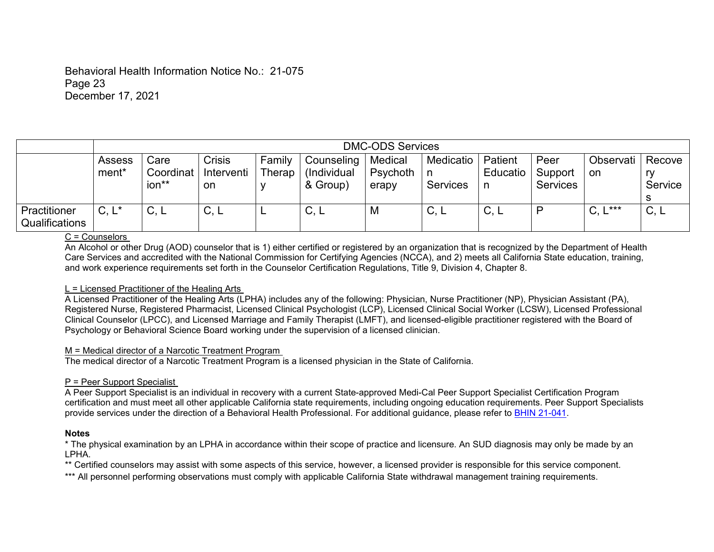#### Behavioral Health Information Notice No.: 21-075 Page 23 December 17, 2021

|                                | <b>DMC-ODS Services</b>     |                            |                                   |                  |                                       |                              |                              |                           |                                    |                    |                         |
|--------------------------------|-----------------------------|----------------------------|-----------------------------------|------------------|---------------------------------------|------------------------------|------------------------------|---------------------------|------------------------------------|--------------------|-------------------------|
|                                | Assess<br>ment <sup>*</sup> | Care<br>Coordinat<br>ion** | <b>Crisis</b><br>Interventi<br>on | Family<br>Therap | Counseling<br>(Individual<br>& Group) | Medical<br>Psychoth<br>erapy | Medicatio<br><b>Services</b> | Patient<br>Educatio<br>n. | Peer<br>Support<br><b>Services</b> | Observati<br>on    | Recove<br>ry<br>Service |
| Practitioner<br>Qualifications | $C, L^*$                    | $\sim$<br>し,L              | C, L                              |                  | ⌒<br>U, L                             | M                            | C, L                         | C, L                      | D                                  | <b>x**</b><br>C, L | C, L                    |

#### C = Counselors

An Alcohol or other Drug (AOD) counselor that is 1) either certified or registered by an organization that is recognized by the Department of Health Care Services and accredited with the National Commission for Certifying Agencies (NCCA), and 2) meets all California State education, training, and work experience requirements set forth in the Counselor Certification Regulations, Title 9, Division 4, Chapter 8.

#### L = Licensed Practitioner of the Healing Arts

A Licensed Practitioner of the Healing Arts (LPHA) includes any of the following: Physician, Nurse Practitioner (NP), Physician Assistant (PA), Registered Nurse, Registered Pharmacist, Licensed Clinical Psychologist (LCP), Licensed Clinical Social Worker (LCSW), Licensed Professional Clinical Counselor (LPCC), and Licensed Marriage and Family Therapist (LMFT), and licensed-eligible practitioner registered with the Board of Psychology or Behavioral Science Board working under the supervision of a licensed clinician.

#### M = Medical director of a Narcotic Treatment Program

The medical director of a Narcotic Treatment Program is a licensed physician in the State of California.

#### P = Peer Support Specialist

A Peer Support Specialist is an individual in recovery with a current State-approved Medi-Cal Peer Support Specialist Certification Program certification and must meet all other applicable California state requirements, including ongoing education requirements. Peer Support Specialists provide services under the direction of a Behavioral Health Professional. For additional guidance, please refer to [BHIN 21-041.](https://www.dhcs.ca.gov/Documents/CSD_BL/BHIN-21-041.pdf)

#### **Notes**

\* The physical examination by an LPHA in accordance within their scope of practice and licensure. An SUD diagnosis may only be made by an LPHA.

\*\* Certified counselors may assist with some aspects of this service, however, a licensed provider is responsible for this service component.

\*\*\* All personnel performing observations must comply with applicable California State withdrawal management training requirements.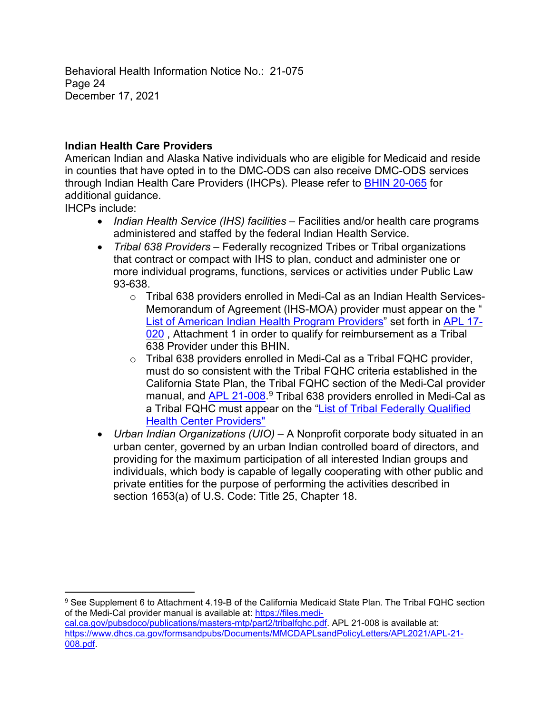Behavioral Health Information Notice No.: 21-075 Page 24 December 17, 2021

# **Indian Health Care Providers**

American Indian and Alaska Native individuals who are eligible for Medicaid and reside in counties that have opted in to the DMC-ODS can also receive DMC-ODS services through Indian Health Care Providers (IHCPs). Please refer to [BHIN 20-065](https://www.dhcs.ca.gov/Documents/BHIN-20-065-Obligations-Related-to-Indian-Health-Care-Providers-in-DMC-ODS-Counties.pdf) for additional guidance.

IHCPs include:

 $\overline{a}$ 

- *Indian Health Service (IHS) facilities* Facilities and/or health care programs administered and staffed by the federal Indian Health Service.
- *Tribal 638 Providers* Federally recognized Tribes or Tribal organizations that contract or compact with IHS to plan, conduct and administer one or more individual programs, functions, services or activities under Public Law 93-638.
	- $\circ$  Tribal 638 providers enrolled in Medi-Cal as an Indian Health Services-Memorandum of Agreement (IHS-MOA) provider must appear on the " List of [American](https://www.dhcs.ca.gov/formsandpubs/Documents/MMCDAPLsandPolicyLetters/APL2017/APL17-020-Att1.pdf) Indian Health Program Providers" set forth in [APL](https://www.dhcs.ca.gov/formsandpubs/Documents/MMCDAPLsandPolicyLetters/APL2017/APL17-020.pdf) 17- [020](https://www.dhcs.ca.gov/formsandpubs/Documents/MMCDAPLsandPolicyLetters/APL2017/APL17-020.pdf), Attachment 1 in order to qualify for reimbursement as a Tribal 638 Provider under this BHIN.
	- o Tribal 638 providers enrolled in Medi-Cal as a Tribal FQHC provider, must do so consistent with the Tribal FQHC criteria established in the California State Plan, the Tribal FQHC section of the Medi-Cal provider manual, and <u>APL 21-008</u>.<sup>9</sup> Tribal 638 providers enrolled in Medi-Cal as a Tribal FQHC must appear on the "List of [Tribal Federally Qualified](https://www.dhcs.ca.gov/formsandpubs/Documents/MMCDAPLsandPolicyLetters/APL2021/APL21-008-Att2.pdf) [Health Center Providers](https://www.dhcs.ca.gov/formsandpubs/Documents/MMCDAPLsandPolicyLetters/APL2021/APL21-008-Att2.pdf)"
- *Urban Indian Organizations (UIO)* A Nonprofit corporate body situated in an urban center, governed by an urban Indian controlled board of directors, and providing for the maximum participation of all interested Indian groups and individuals, which body is capable of legally cooperating with other public and private entities for the purpose of performing the activities described in section 1653(a) of U.S. Code: Title 25, Chapter 18.

<sup>9</sup> See Supplement 6 to Attachment 4.19-B of the California Medicaid State Plan. The Tribal FQHC section of the Medi-Cal provider manual is available at: [https://files.medi](https://files.medi-cal.ca.gov/pubsdoco/publications/masters-mtp/part2/tribalfqhc.pdf)[cal.ca.gov/pubsdoco/publications/masters-mtp/part2/tribalfqhc.pdf.](https://files.medi-cal.ca.gov/pubsdoco/publications/masters-mtp/part2/tribalfqhc.pdf) APL 21-008 is available at: [https://www.dhcs.ca.gov/formsandpubs/Documents/MMCDAPLsandPolicyLetters/APL2021/APL-21-](https://www.dhcs.ca.gov/formsandpubs/Documents/MMCDAPLsandPolicyLetters/APL2021/APL-21-008.pdf) [008.pdf.](https://www.dhcs.ca.gov/formsandpubs/Documents/MMCDAPLsandPolicyLetters/APL2021/APL-21-008.pdf)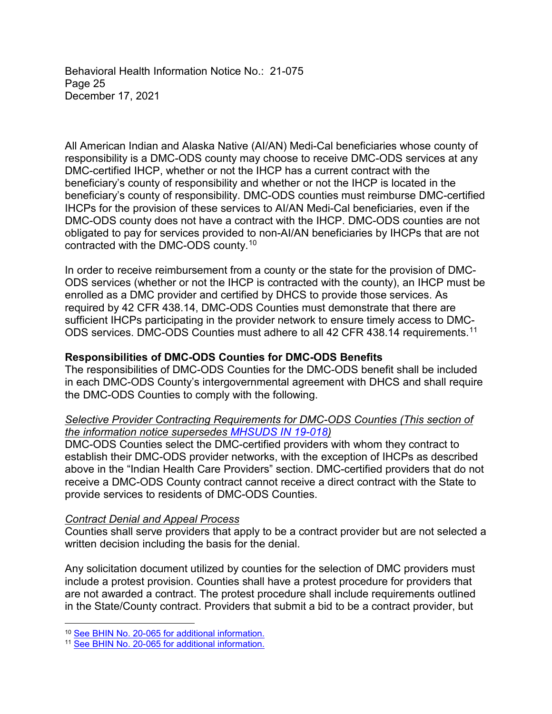Behavioral Health Information Notice No.: 21-075 Page 25 December 17, 2021

All American Indian and Alaska Native (AI/AN) Medi-Cal beneficiaries whose county of responsibility is a DMC-ODS county may choose to receive DMC-ODS services at any DMC-certified IHCP, whether or not the IHCP has a current contract with the beneficiary's county of responsibility and whether or not the IHCP is located in the beneficiary's county of responsibility. DMC-ODS counties must reimburse DMC-certified IHCPs for the provision of these services to AI/AN Medi-Cal beneficiaries, even if the DMC-ODS county does not have a contract with the IHCP. DMC-ODS counties are not obligated to pay for services provided to non-AI/AN beneficiaries by IHCPs that are not contracted with the DMC-ODS county. 10

In order to receive reimbursement from a county or the state for the provision of DMC-ODS services (whether or not the IHCP is contracted with the county), an IHCP must be enrolled as a DMC provider and certified by DHCS to provide those services. As required by 42 CFR 438.14, DMC-ODS Counties must demonstrate that there are sufficient IHCPs participating in the provider network to ensure timely access to DMC-ODS services. DMC-ODS Counties must adhere to all 42 CFR 438.14 requirements.<sup>11</sup>

### **Responsibilities of DMC-ODS Counties for DMC-ODS Benefits**

The responsibilities of DMC-ODS Counties for the DMC-ODS benefit shall be included in each DMC-ODS County's intergovernmental agreement with DHCS and shall require the DMC-ODS Counties to comply with the following.

### *Selective Provider Contracting Requirements for DMC-ODS Counties (This section of the information notice supersedes [MHSUDS IN 19-018](https://www.dhcs.ca.gov/formsandpubs/Documents/MHSUDS%20Information%20Notices/MHSUDS_Information_Notices_2019/MHSUDS_IN_19-018_DMC-ODS_Provider_Selection_Review_Process.pdf))*

DMC-ODS Counties select the DMC-certified providers with whom they contract to establish their DMC-ODS provider networks, with the exception of IHCPs as described above in the "Indian Health Care Providers" section. DMC-certified providers that do not receive a DMC-ODS County contract cannot receive a direct contract with the State to provide services to residents of DMC-ODS Counties.

#### *Contract Denial and Appeal Process*

Counties shall serve providers that apply to be a contract provider but are not selected a written decision including the basis for the denial.

Any solicitation document utilized by counties for the selection of DMC providers must include a protest provision. Counties shall have a protest procedure for providers that are not awarded a contract. The protest procedure shall include requirements outlined in the State/County contract. Providers that submit a bid to be a contract provider, but

 $\overline{a}$ 

<sup>&</sup>lt;sup>10</sup> See BHIN [No. 20-065 for additional information.](https://www.dhcs.ca.gov/Documents/BHIN-20-065-Obligations-Related-to-Indian-Health-Care-Providers-in-DMC-ODS-Counties.pdf)

<sup>11</sup> See BHIN [No. 20-065 for additional information.](https://www.dhcs.ca.gov/Documents/BHIN-20-065-Obligations-Related-to-Indian-Health-Care-Providers-in-DMC-ODS-Counties.pdf)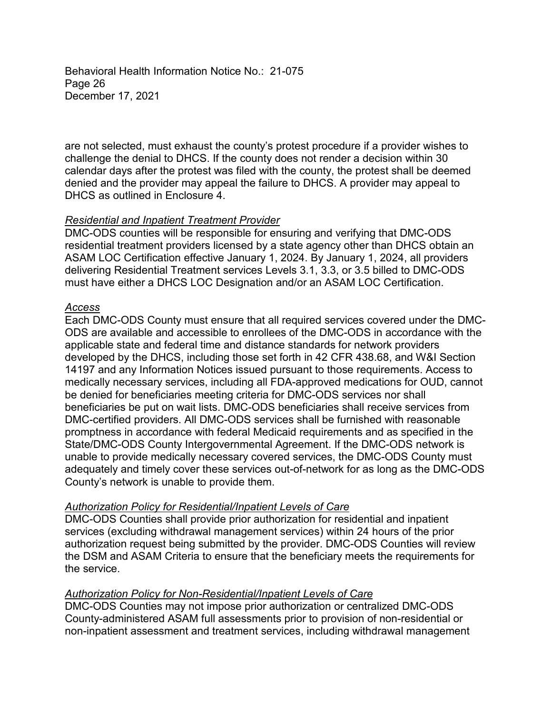Behavioral Health Information Notice No.: 21-075 Page 26 December 17, 2021

are not selected, must exhaust the county's protest procedure if a provider wishes to challenge the denial to DHCS. If the county does not render a decision within 30 calendar days after the protest was filed with the county, the protest shall be deemed denied and the provider may appeal the failure to DHCS. A provider may appeal to DHCS as outlined in Enclosure 4.

### *Residential and Inpatient Treatment Provider*

DMC-ODS counties will be responsible for ensuring and verifying that DMC-ODS residential treatment providers licensed by a state agency other than DHCS obtain an ASAM LOC Certification effective January 1, 2024. By January 1, 2024, all providers delivering Residential Treatment services Levels 3.1, 3.3, or 3.5 billed to DMC-ODS must have either a DHCS LOC Designation and/or an ASAM LOC Certification.

#### *Access*

Each DMC-ODS County must ensure that all required services covered under the DMC-ODS are available and accessible to enrollees of the DMC-ODS in accordance with the applicable state and federal time and distance standards for network providers developed by the DHCS, including those set forth in 42 CFR 438.68, and W&I Section 14197 and any Information Notices issued pursuant to those requirements. Access to medically necessary services, including all FDA-approved medications for OUD, cannot be denied for beneficiaries meeting criteria for DMC-ODS services nor shall beneficiaries be put on wait lists. DMC-ODS beneficiaries shall receive services from DMC-certified providers. All DMC-ODS services shall be furnished with reasonable promptness in accordance with federal Medicaid requirements and as specified in the State/DMC-ODS County Intergovernmental Agreement. If the DMC-ODS network is unable to provide medically necessary covered services, the DMC-ODS County must adequately and timely cover these services out-of-network for as long as the DMC-ODS County's network is unable to provide them.

#### *Authorization Policy for Residential/Inpatient Levels of Care*

DMC-ODS Counties shall provide prior authorization for residential and inpatient services (excluding withdrawal management services) within 24 hours of the prior authorization request being submitted by the provider. DMC-ODS Counties will review the DSM and ASAM Criteria to ensure that the beneficiary meets the requirements for the service.

# *Authorization Policy for Non-Residential/Inpatient Levels of Care*

DMC-ODS Counties may not impose prior authorization or centralized DMC-ODS County-administered ASAM full assessments prior to provision of non-residential or non-inpatient assessment and treatment services, including withdrawal management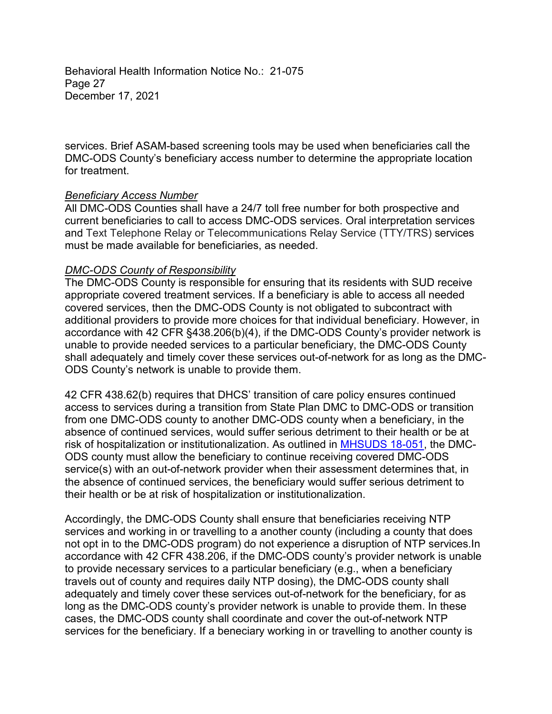Behavioral Health Information Notice No.: 21-075 Page 27 December 17, 2021

services. Brief ASAM-based screening tools may be used when beneficiaries call the DMC-ODS County's beneficiary access number to determine the appropriate location for treatment.

#### *Beneficiary Access Number*

All DMC-ODS Counties shall have a 24/7 toll free number for both prospective and current beneficiaries to call to access DMC-ODS services. Oral interpretation services and Text Telephone Relay or Telecommunications Relay Service (TTY/TRS) services must be made available for beneficiaries, as needed.

### *DMC-ODS County of Responsibility*

The DMC-ODS County is responsible for ensuring that its residents with SUD receive appropriate covered treatment services. If a beneficiary is able to access all needed covered services, then the DMC-ODS County is not obligated to subcontract with additional providers to provide more choices for that individual beneficiary. However, in accordance with 42 CFR §438.206(b)(4), if the DMC-ODS County's provider network is unable to provide needed services to a particular beneficiary, the DMC-ODS County shall adequately and timely cover these services out-of-network for as long as the DMC-ODS County's network is unable to provide them.

42 CFR 438.62(b) requires that DHCS' transition of care policy ensures continued access to services during a transition from State Plan DMC to DMC-ODS or transition from one DMC-ODS county to another DMC-ODS county when a beneficiary, in the absence of continued services, would suffer serious detriment to their health or be at risk of hospitalization or institutionalization. As outlined in [MHSUDS 18-051](https://www.dhcs.ca.gov/formsandpubs/Documents/MHSUDS%20Information%20Notices/MHSUDS_Information_Notices_2018/MHSUDS_Information_Notice_18_051_DMC_ODS_Transition_of_Care.pdf), the DMC-ODS county must allow the beneficiary to continue receiving covered DMC-ODS service(s) with an out-of-network provider when their assessment determines that, in the absence of continued services, the beneficiary would suffer serious detriment to their health or be at risk of hospitalization or institutionalization.

Accordingly, the DMC-ODS County shall ensure that beneficiaries receiving NTP services and working in or travelling to a another county (including a county that does not opt in to the DMC-ODS program) do not experience a disruption of NTP services.In accordance with 42 CFR 438.206, if the DMC-ODS county's provider network is unable to provide necessary services to a particular beneficiary (e.g., when a beneficiary travels out of county and requires daily NTP dosing), the DMC-ODS county shall adequately and timely cover these services out-of-network for the beneficiary, for as long as the DMC-ODS county's provider network is unable to provide them. In these cases, the DMC-ODS county shall coordinate and cover the out-of-network NTP services for the beneficiary. If a beneciary working in or travelling to another county is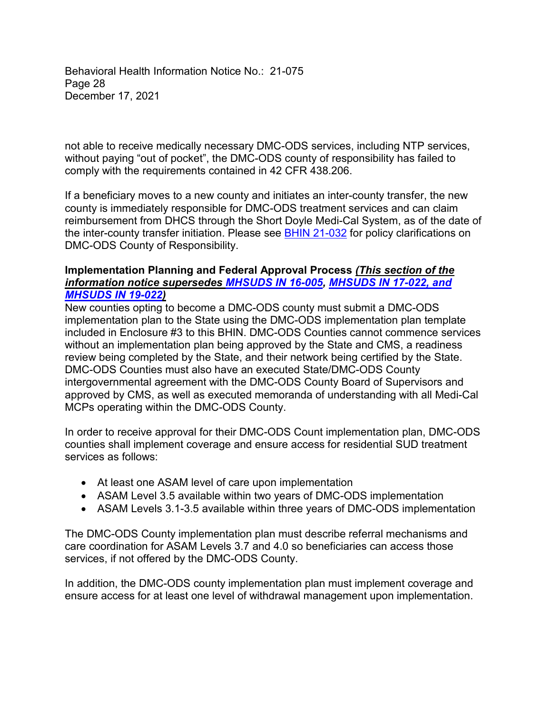Behavioral Health Information Notice No.: 21-075 Page 28 December 17, 2021

not able to receive medically necessary DMC-ODS services, including NTP services, without paying "out of pocket", the DMC-ODS county of responsibility has failed to comply with the requirements contained in 42 CFR 438.206.

If a beneficiary moves to a new county and initiates an inter-county transfer, the new county is immediately responsible for DMC-ODS treatment services and can claim reimbursement from DHCS through the Short Doyle Medi-Cal System, as of the date of the inter-county transfer initiation. Please see **BHIN 21-032** for policy clarifications on DMC-ODS County of Responsibility.

#### **Implementation Planning and Federal Approval Process** *(This section of the information notice supersedes [MHSUDS IN 16-005,](https://www.dhcs.ca.gov/formsandpubs/Documents/MHSUDS_Information_Notice_16-005.pdf) [MHSUDS IN 17-022,](https://www.dhcs.ca.gov/formsandpubs/Documents/MHSUDS_Information%20_Notice_17-022%20-%20Deadline%20to%20Submit%20DMC%20ODS%20IP.PDF) and [MHSUDS IN 19-022](https://www.dhcs.ca.gov/formsandpubs/Documents/MHSUDS%20Information%20Notices/MHSUDS_Information_Notices_2019/MHSUDS_IN_19-022-Cert_of_Document_Data%20Submissions_for_DMC-ODS.pdf))*

New counties opting to become a DMC-ODS county must submit a DMC-ODS implementation plan to the State using the DMC-ODS implementation plan template included in Enclosure #3 to this BHIN. DMC-ODS Counties cannot commence services without an implementation plan being approved by the State and CMS, a readiness review being completed by the State, and their network being certified by the State. DMC-ODS Counties must also have an executed State/DMC-ODS County intergovernmental agreement with the DMC-ODS County Board of Supervisors and approved by CMS, as well as executed memoranda of understanding with all Medi-Cal MCPs operating within the DMC-ODS County.

In order to receive approval for their DMC-ODS Count implementation plan, DMC-ODS counties shall implement coverage and ensure access for residential SUD treatment services as follows:

- At least one ASAM level of care upon implementation
- ASAM Level 3.5 available within two years of DMC-ODS implementation
- ASAM Levels 3.1-3.5 available within three years of DMC-ODS implementation

The DMC-ODS County implementation plan must describe referral mechanisms and care coordination for ASAM Levels 3.7 and 4.0 so beneficiaries can access those services, if not offered by the DMC-ODS County.

In addition, the DMC-ODS county implementation plan must implement coverage and ensure access for at least one level of withdrawal management upon implementation.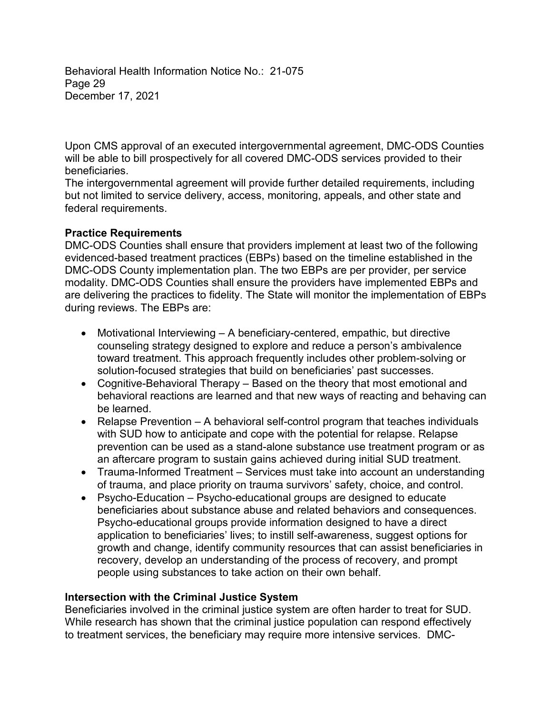Behavioral Health Information Notice No.: 21-075 Page 29 December 17, 2021

Upon CMS approval of an executed intergovernmental agreement, DMC-ODS Counties will be able to bill prospectively for all covered DMC-ODS services provided to their beneficiaries.

The intergovernmental agreement will provide further detailed requirements, including but not limited to service delivery, access, monitoring, appeals, and other state and federal requirements.

# **Practice Requirements**

DMC-ODS Counties shall ensure that providers implement at least two of the following evidenced-based treatment practices (EBPs) based on the timeline established in the DMC-ODS County implementation plan. The two EBPs are per provider, per service modality. DMC-ODS Counties shall ensure the providers have implemented EBPs and are delivering the practices to fidelity. The State will monitor the implementation of EBPs during reviews. The EBPs are:

- Motivational Interviewing A beneficiary-centered, empathic, but directive counseling strategy designed to explore and reduce a person's ambivalence toward treatment. This approach frequently includes other problem-solving or solution-focused strategies that build on beneficiaries' past successes.
- Cognitive-Behavioral Therapy Based on the theory that most emotional and behavioral reactions are learned and that new ways of reacting and behaving can be learned.
- Relapse Prevention A behavioral self-control program that teaches individuals with SUD how to anticipate and cope with the potential for relapse. Relapse prevention can be used as a stand-alone substance use treatment program or as an aftercare program to sustain gains achieved during initial SUD treatment.
- Trauma-Informed Treatment Services must take into account an understanding of trauma, and place priority on trauma survivors' safety, choice, and control.
- Psycho-Education Psycho-educational groups are designed to educate beneficiaries about substance abuse and related behaviors and consequences. Psycho-educational groups provide information designed to have a direct application to beneficiaries' lives; to instill self-awareness, suggest options for growth and change, identify community resources that can assist beneficiaries in recovery, develop an understanding of the process of recovery, and prompt people using substances to take action on their own behalf.

#### **Intersection with the Criminal Justice System**

Beneficiaries involved in the criminal justice system are often harder to treat for SUD. While research has shown that the criminal justice population can respond effectively to treatment services, the beneficiary may require more intensive services. DMC-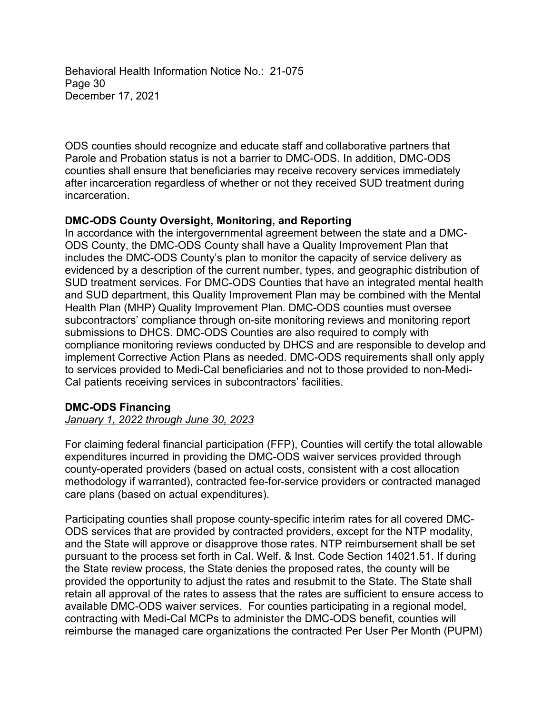Behavioral Health Information Notice No.: 21-075 Page 30 December 17, 2021

ODS counties should recognize and educate staff and collaborative partners that Parole and Probation status is not a barrier to DMC-ODS. In addition, DMC-ODS counties shall ensure that beneficiaries may receive recovery services immediately after incarceration regardless of whether or not they received SUD treatment during incarceration.

### **DMC-ODS County Oversight, Monitoring, and Reporting**

In accordance with the intergovernmental agreement between the state and a DMC-ODS County, the DMC-ODS County shall have a Quality Improvement Plan that includes the DMC-ODS County's plan to monitor the capacity of service delivery as evidenced by a description of the current number, types, and geographic distribution of SUD treatment services. For DMC-ODS Counties that have an integrated mental health and SUD department, this Quality Improvement Plan may be combined with the Mental Health Plan (MHP) Quality Improvement Plan. DMC-ODS counties must oversee subcontractors' compliance through on-site monitoring reviews and monitoring report submissions to DHCS. DMC-ODS Counties are also required to comply with compliance monitoring reviews conducted by DHCS and are responsible to develop and implement Corrective Action Plans as needed. DMC-ODS requirements shall only apply to services provided to Medi-Cal beneficiaries and not to those provided to non-Medi-Cal patients receiving services in subcontractors' facilities.

#### **DMC-ODS Financing**

#### *January 1, 2022 through June 30, 2023*

For claiming federal financial participation (FFP), Counties will certify the total allowable expenditures incurred in providing the DMC-ODS waiver services provided through county-operated providers (based on actual costs, consistent with a cost allocation methodology if warranted), contracted fee-for-service providers or contracted managed care plans (based on actual expenditures).

Participating counties shall propose county-specific interim rates for all covered DMC-ODS services that are provided by contracted providers, except for the NTP modality, and the State will approve or disapprove those rates. NTP reimbursement shall be set pursuant to the process set forth in Cal. Welf. & Inst. Code Section 14021.51. If during the State review process, the State denies the proposed rates, the county will be provided the opportunity to adjust the rates and resubmit to the State. The State shall retain all approval of the rates to assess that the rates are sufficient to ensure access to available DMC-ODS waiver services. For counties participating in a regional model, contracting with Medi-Cal MCPs to administer the DMC-ODS benefit, counties will reimburse the managed care organizations the contracted Per User Per Month (PUPM)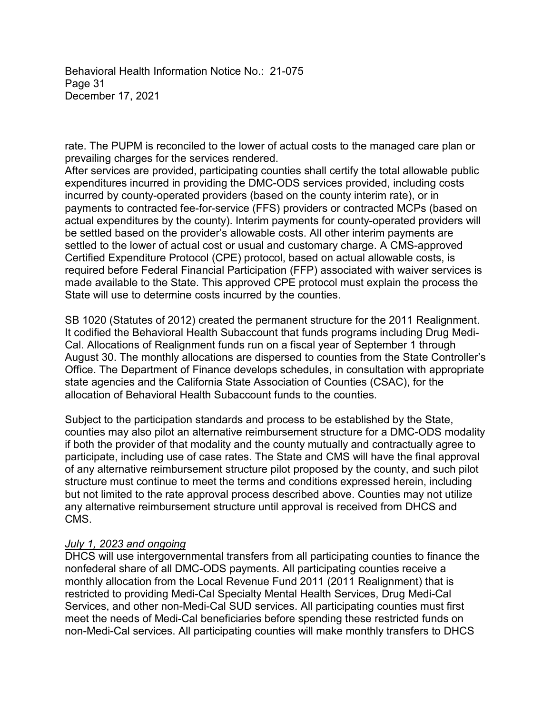Behavioral Health Information Notice No.: 21-075 Page 31 December 17, 2021

rate. The PUPM is reconciled to the lower of actual costs to the managed care plan or prevailing charges for the services rendered.

After services are provided, participating counties shall certify the total allowable public expenditures incurred in providing the DMC-ODS services provided, including costs incurred by county-operated providers (based on the county interim rate), or in payments to contracted fee-for-service (FFS) providers or contracted MCPs (based on actual expenditures by the county). Interim payments for county-operated providers will be settled based on the provider's allowable costs. All other interim payments are settled to the lower of actual cost or usual and customary charge. A CMS-approved Certified Expenditure Protocol (CPE) protocol, based on actual allowable costs, is required before Federal Financial Participation (FFP) associated with waiver services is made available to the State. This approved CPE protocol must explain the process the State will use to determine costs incurred by the counties.

SB 1020 (Statutes of 2012) created the permanent structure for the 2011 Realignment. It codified the Behavioral Health Subaccount that funds programs including Drug Medi-Cal. Allocations of Realignment funds run on a fiscal year of September 1 through August 30. The monthly allocations are dispersed to counties from the State Controller's Office. The Department of Finance develops schedules, in consultation with appropriate state agencies and the California State Association of Counties (CSAC), for the allocation of Behavioral Health Subaccount funds to the counties.

Subject to the participation standards and process to be established by the State, counties may also pilot an alternative reimbursement structure for a DMC-ODS modality if both the provider of that modality and the county mutually and contractually agree to participate, including use of case rates. The State and CMS will have the final approval of any alternative reimbursement structure pilot proposed by the county, and such pilot structure must continue to meet the terms and conditions expressed herein, including but not limited to the rate approval process described above. Counties may not utilize any alternative reimbursement structure until approval is received from DHCS and CMS.

#### *July 1, 2023 and ongoing*

DHCS will use intergovernmental transfers from all participating counties to finance the nonfederal share of all DMC-ODS payments. All participating counties receive a monthly allocation from the Local Revenue Fund 2011 (2011 Realignment) that is restricted to providing Medi-Cal Specialty Mental Health Services, Drug Medi-Cal Services, and other non-Medi-Cal SUD services. All participating counties must first meet the needs of Medi-Cal beneficiaries before spending these restricted funds on non-Medi-Cal services. All participating counties will make monthly transfers to DHCS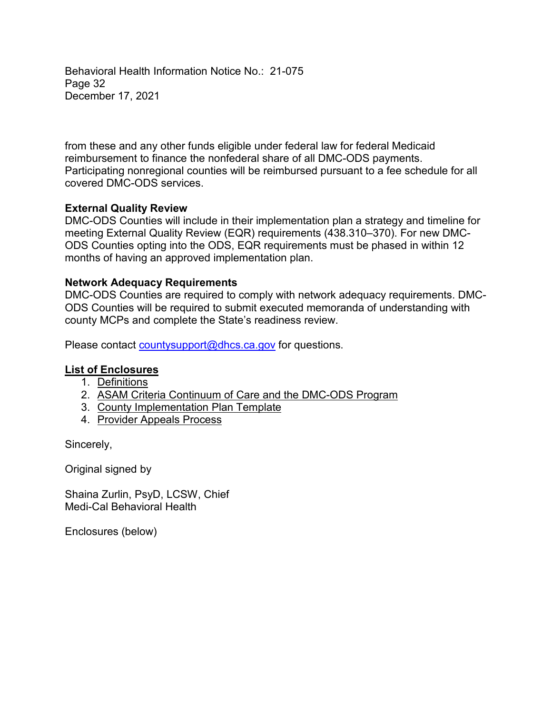Behavioral Health Information Notice No.: 21-075 Page 32 December 17, 2021

from these and any other funds eligible under federal law for federal Medicaid reimbursement to finance the nonfederal share of all DMC-ODS payments. Participating nonregional counties will be reimbursed pursuant to a fee schedule for all covered DMC-ODS services.

### **External Quality Review**

DMC-ODS Counties will include in their implementation plan a strategy and timeline for meeting External Quality Review (EQR) requirements (438.310–370). For new DMC-ODS Counties opting into the ODS, EQR requirements must be phased in within 12 months of having an approved implementation plan.

#### **Network Adequacy Requirements**

DMC-ODS Counties are required to comply with network adequacy requirements. DMC-ODS Counties will be required to submit executed memoranda of understanding with county MCPs and complete the State's readiness review.

Please contact [countysupport@dhcs.ca.gov](Mailto:countysupport@dhcs.ca.gov) for questions.

#### **List of Enclosures**

- 1. Definitions
- 2. ASAM Criteria Continuum of Care and the DMC-ODS Program
- 3. County Implementation Plan Template
- 4. Provider Appeals Process

Sincerely,

Original signed by

Shaina Zurlin, PsyD, LCSW, Chief Medi-Cal Behavioral Health

Enclosures (below)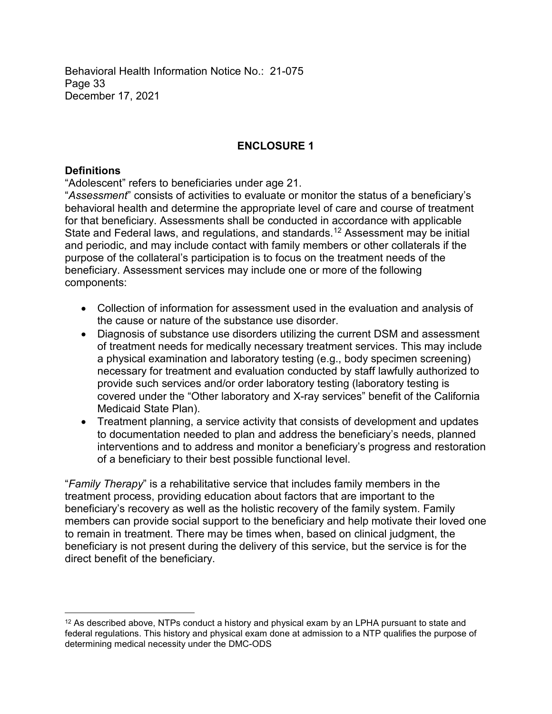Behavioral Health Information Notice No.: 21-075 Page 33 December 17, 2021

# **ENCLOSURE 1**

### **Definitions**

"Adolescent" refers to beneficiaries under age 21.

"*Assessment*" consists of activities to evaluate or monitor the status of a beneficiary's behavioral health and determine the appropriate level of care and course of treatment for that beneficiary. Assessments shall be conducted in accordance with applicable State and Federal laws, and regulations, and standards. <sup>12</sup> Assessment may be initial and periodic, and may include contact with family members or other collaterals if the purpose of the collateral's participation is to focus on the treatment needs of the beneficiary. Assessment services may include one or more of the following components:

- Collection of information for assessment used in the evaluation and analysis of the cause or nature of the substance use disorder.
- Diagnosis of substance use disorders utilizing the current DSM and assessment of treatment needs for medically necessary treatment services. This may include a physical examination and laboratory testing (e.g., body specimen screening) necessary for treatment and evaluation conducted by staff lawfully authorized to provide such services and/or order laboratory testing (laboratory testing is covered under the "Other laboratory and X-ray services" benefit of the California Medicaid State Plan).
- Treatment planning, a service activity that consists of development and updates to documentation needed to plan and address the beneficiary's needs, planned interventions and to address and monitor a beneficiary's progress and restoration of a beneficiary to their best possible functional level.

"*Family Therapy*" is a rehabilitative service that includes family members in the treatment process, providing education about factors that are important to the beneficiary's recovery as well as the holistic recovery of the family system. Family members can provide social support to the beneficiary and help motivate their loved one to remain in treatment. There may be times when, based on clinical judgment, the beneficiary is not present during the delivery of this service, but the service is for the direct benefit of the beneficiary.

 $\overline{a}$  $12$  As described above, NTPs conduct a history and physical exam by an LPHA pursuant to state and federal regulations. This history and physical exam done at admission to a NTP qualifies the purpose of determining medical necessity under the DMC-ODS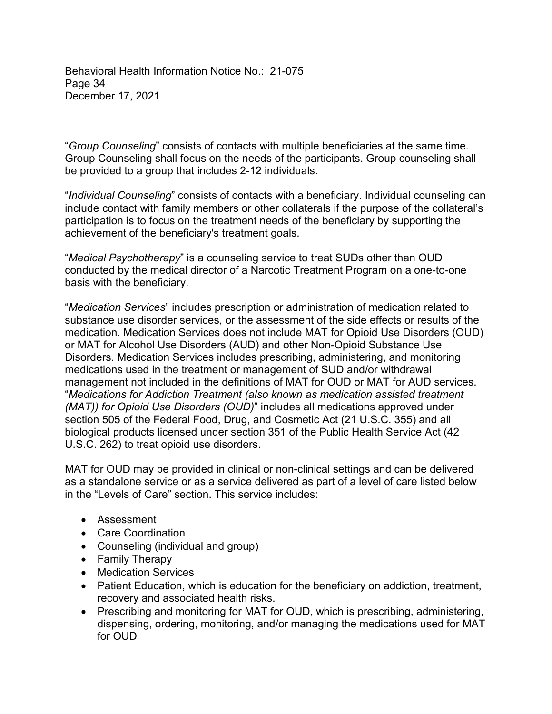Behavioral Health Information Notice No.: 21-075 Page 34 December 17, 2021

"*Group Counseling*" consists of contacts with multiple beneficiaries at the same time. Group Counseling shall focus on the needs of the participants. Group counseling shall be provided to a group that includes 2-12 individuals.

"*Individual Counseling*" consists of contacts with a beneficiary. Individual counseling can include contact with family members or other collaterals if the purpose of the collateral's participation is to focus on the treatment needs of the beneficiary by supporting the achievement of the beneficiary's treatment goals.

"*Medical Psychotherapy*" is a counseling service to treat SUDs other than OUD conducted by the medical director of a Narcotic Treatment Program on a one-to-one basis with the beneficiary.

"*Medication Services*" includes prescription or administration of medication related to substance use disorder services, or the assessment of the side effects or results of the medication. Medication Services does not include MAT for Opioid Use Disorders (OUD) or MAT for Alcohol Use Disorders (AUD) and other Non-Opioid Substance Use Disorders. Medication Services includes prescribing, administering, and monitoring medications used in the treatment or management of SUD and/or withdrawal management not included in the definitions of MAT for OUD or MAT for AUD services. "*Medications for Addiction Treatment (also known as medication assisted treatment (MAT)) for Opioid Use Disorders (OUD)*" includes all medications approved under section 505 of the Federal Food, Drug, and Cosmetic Act (21 U.S.C. 355) and all biological products licensed under section 351 of the Public Health Service Act (42 U.S.C. 262) to treat opioid use disorders.

MAT for OUD may be provided in clinical or non-clinical settings and can be delivered as a standalone service or as a service delivered as part of a level of care listed below in the "Levels of Care" section. This service includes:

- Assessment
- Care Coordination
- Counseling (individual and group)
- Family Therapy
- Medication Services
- Patient Education, which is education for the beneficiary on addiction, treatment, recovery and associated health risks.
- Prescribing and monitoring for MAT for OUD, which is prescribing, administering, dispensing, ordering, monitoring, and/or managing the medications used for MAT for OUD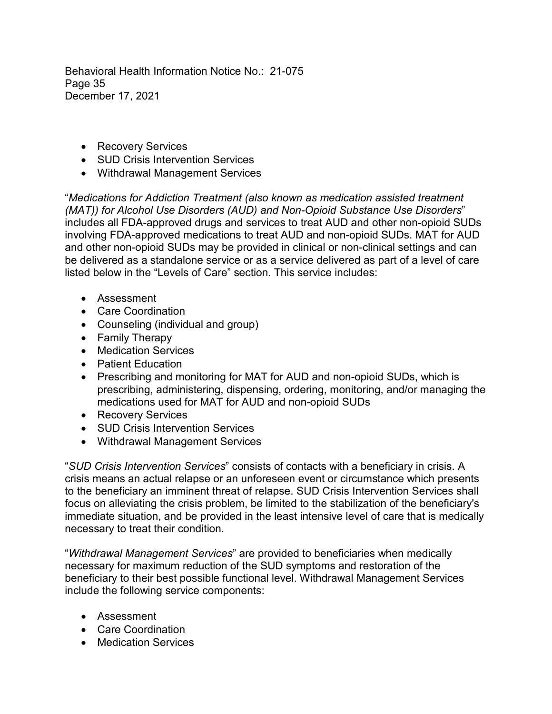Behavioral Health Information Notice No.: 21-075 Page 35 December 17, 2021

- Recovery Services
- SUD Crisis Intervention Services
- Withdrawal Management Services

"*Medications for Addiction Treatment (also known as medication assisted treatment (MAT)) for Alcohol Use Disorders (AUD) and Non-Opioid Substance Use Disorders*" includes all FDA-approved drugs and services to treat AUD and other non-opioid SUDs involving FDA-approved medications to treat AUD and non-opioid SUDs. MAT for AUD and other non-opioid SUDs may be provided in clinical or non-clinical settings and can be delivered as a standalone service or as a service delivered as part of a level of care listed below in the "Levels of Care" section. This service includes:

- Assessment
- Care Coordination
- Counseling (individual and group)
- Family Therapy
- Medication Services
- Patient Education
- Prescribing and monitoring for MAT for AUD and non-opioid SUDs, which is prescribing, administering, dispensing, ordering, monitoring, and/or managing the medications used for MAT for AUD and non-opioid SUDs
- Recovery Services
- SUD Crisis Intervention Services
- Withdrawal Management Services

"*SUD Crisis Intervention Services*" consists of contacts with a beneficiary in crisis. A crisis means an actual relapse or an unforeseen event or circumstance which presents to the beneficiary an imminent threat of relapse. SUD Crisis Intervention Services shall focus on alleviating the crisis problem, be limited to the stabilization of the beneficiary's immediate situation, and be provided in the least intensive level of care that is medically necessary to treat their condition.

"*Withdrawal Management Services*" are provided to beneficiaries when medically necessary for maximum reduction of the SUD symptoms and restoration of the beneficiary to their best possible functional level. Withdrawal Management Services include the following service components:

- Assessment
- Care Coordination
- Medication Services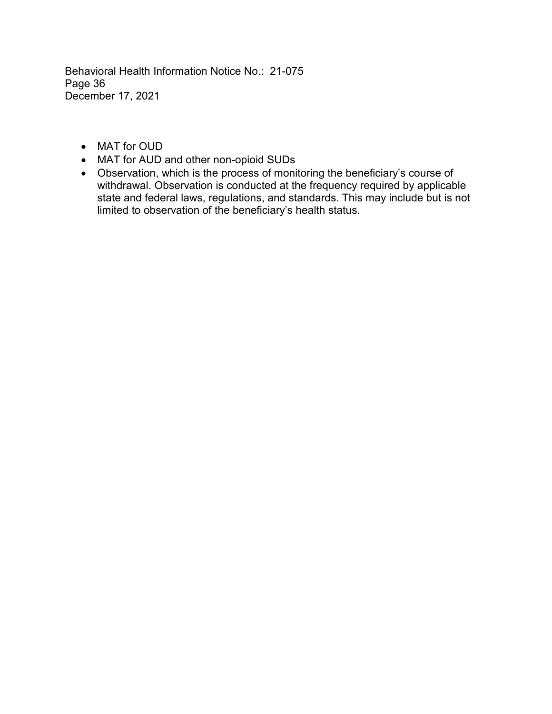Behavioral Health Information Notice No.: 21-075 Page 36 December 17, 2021

- MAT for OUD
- MAT for AUD and other non-opioid SUDs
- Observation, which is the process of monitoring the beneficiary's course of withdrawal. Observation is conducted at the frequency required by applicable state and federal laws, regulations, and standards. This may include but is not limited to observation of the beneficiary's health status.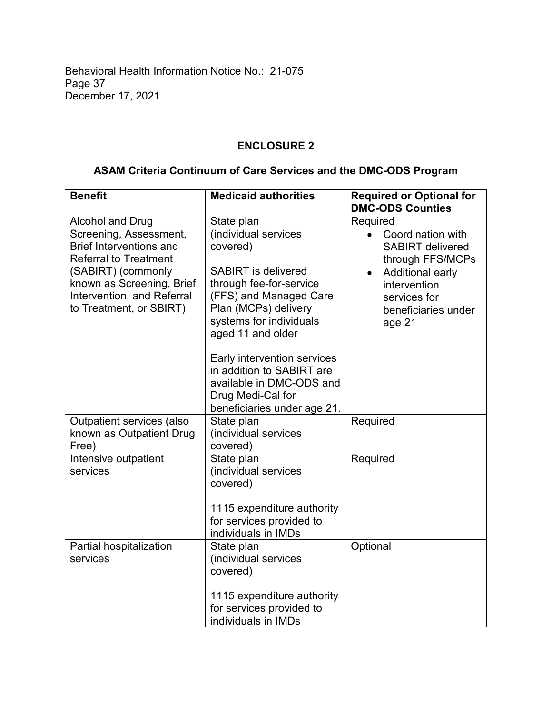Behavioral Health Information Notice No.: 21-075 Page 37 December 17, 2021

# **ENCLOSURE 2**

# **ASAM Criteria Continuum of Care Services and the DMC-ODS Program**

| <b>Benefit</b>                                                                                                                                                                                                           | <b>Medicaid authorities</b>                                                                                                                                                                                                                                                                                                                           | <b>Required or Optional for</b><br><b>DMC-ODS Counties</b>                                                                                                        |
|--------------------------------------------------------------------------------------------------------------------------------------------------------------------------------------------------------------------------|-------------------------------------------------------------------------------------------------------------------------------------------------------------------------------------------------------------------------------------------------------------------------------------------------------------------------------------------------------|-------------------------------------------------------------------------------------------------------------------------------------------------------------------|
| Alcohol and Drug<br>Screening, Assessment,<br><b>Brief Interventions and</b><br><b>Referral to Treatment</b><br>(SABIRT) (commonly<br>known as Screening, Brief<br>Intervention, and Referral<br>to Treatment, or SBIRT) | State plan<br>(individual services<br>covered)<br><b>SABIRT</b> is delivered<br>through fee-for-service<br>(FFS) and Managed Care<br>Plan (MCPs) delivery<br>systems for individuals<br>aged 11 and older<br>Early intervention services<br>in addition to SABIRT are<br>available in DMC-ODS and<br>Drug Medi-Cal for<br>beneficiaries under age 21. | Required<br>Coordination with<br><b>SABIRT</b> delivered<br>through FFS/MCPs<br>Additional early<br>intervention<br>services for<br>beneficiaries under<br>age 21 |
| Outpatient services (also<br>known as Outpatient Drug<br>Free)                                                                                                                                                           | State plan<br>(individual services<br>covered)                                                                                                                                                                                                                                                                                                        | Required                                                                                                                                                          |
| Intensive outpatient<br>services                                                                                                                                                                                         | State plan<br>(individual services<br>covered)<br>1115 expenditure authority<br>for services provided to<br>individuals in IMDs                                                                                                                                                                                                                       | Required                                                                                                                                                          |
| Partial hospitalization<br>services                                                                                                                                                                                      | State plan<br>(individual services<br>covered)<br>1115 expenditure authority<br>for services provided to<br>individuals in IMDs                                                                                                                                                                                                                       | Optional                                                                                                                                                          |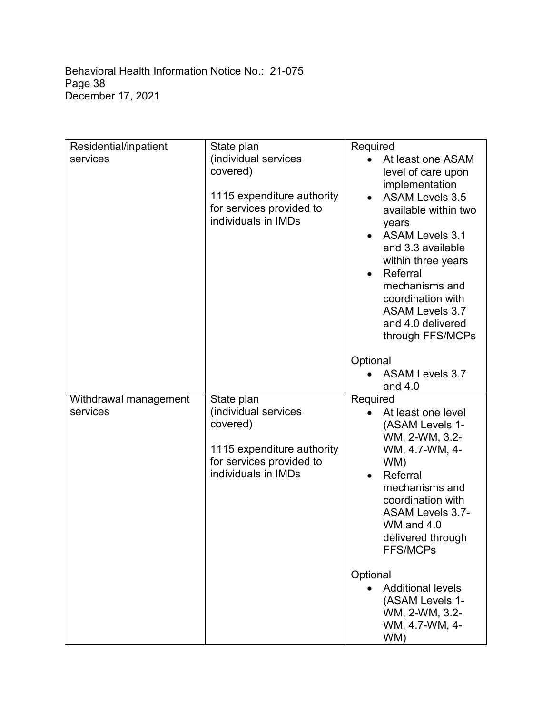| Residential/inpatient | State plan                       | Required                                       |
|-----------------------|----------------------------------|------------------------------------------------|
| services              | (individual services             | At least one ASAM                              |
|                       | covered)                         | level of care upon                             |
|                       | 1115 expenditure authority       | implementation                                 |
|                       | for services provided to         | <b>ASAM Levels 3.5</b><br>available within two |
|                       | individuals in IMDs              | years                                          |
|                       |                                  | <b>ASAM Levels 3.1</b>                         |
|                       |                                  | and 3.3 available                              |
|                       |                                  | within three years                             |
|                       |                                  | Referral<br>mechanisms and                     |
|                       |                                  | coordination with                              |
|                       |                                  | <b>ASAM Levels 3.7</b>                         |
|                       |                                  | and 4.0 delivered                              |
|                       |                                  | through FFS/MCPs                               |
|                       |                                  | Optional                                       |
|                       |                                  | <b>ASAM Levels 3.7</b>                         |
|                       |                                  | and $4.0$                                      |
| Withdrawal management | State plan                       | Required                                       |
| services              | (individual services<br>covered) | At least one level<br>(ASAM Levels 1-          |
|                       |                                  | WM, 2-WM, 3.2-                                 |
|                       | 1115 expenditure authority       | WM, 4.7-WM, 4-                                 |
|                       | for services provided to         | WM)                                            |
|                       | individuals in IMDs              | Referral<br>$\bullet$                          |
|                       |                                  | mechanisms and<br>coordination with            |
|                       |                                  | <b>ASAM Levels 3.7-</b>                        |
|                       |                                  | WM and 4.0                                     |
|                       |                                  | delivered through                              |
|                       |                                  | <b>FFS/MCPs</b>                                |
|                       |                                  | Optional                                       |
|                       |                                  | <b>Additional levels</b>                       |
|                       |                                  | (ASAM Levels 1-                                |
|                       |                                  | WM, 2-WM, 3.2-<br>WM, 4.7-WM, 4-               |
|                       |                                  | WM)                                            |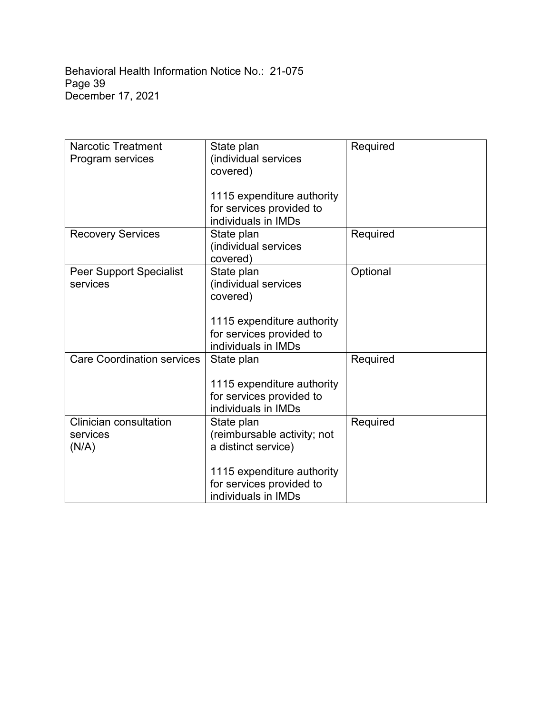| <b>Narcotic Treatment</b><br>Program services      | State plan<br>(individual services<br>covered)                                                                                                    | Required |
|----------------------------------------------------|---------------------------------------------------------------------------------------------------------------------------------------------------|----------|
|                                                    | 1115 expenditure authority<br>for services provided to<br>individuals in IMDs                                                                     |          |
| <b>Recovery Services</b>                           | State plan<br>(individual services<br>covered)                                                                                                    | Required |
| <b>Peer Support Specialist</b><br>services         | State plan<br>(individual services<br>covered)<br>1115 expenditure authority<br>for services provided to<br>individuals in IMDs                   | Optional |
| <b>Care Coordination services</b>                  | State plan<br>1115 expenditure authority<br>for services provided to<br>individuals in IMDs                                                       | Required |
| <b>Clinician consultation</b><br>services<br>(N/A) | State plan<br>(reimbursable activity; not<br>a distinct service)<br>1115 expenditure authority<br>for services provided to<br>individuals in IMDs | Required |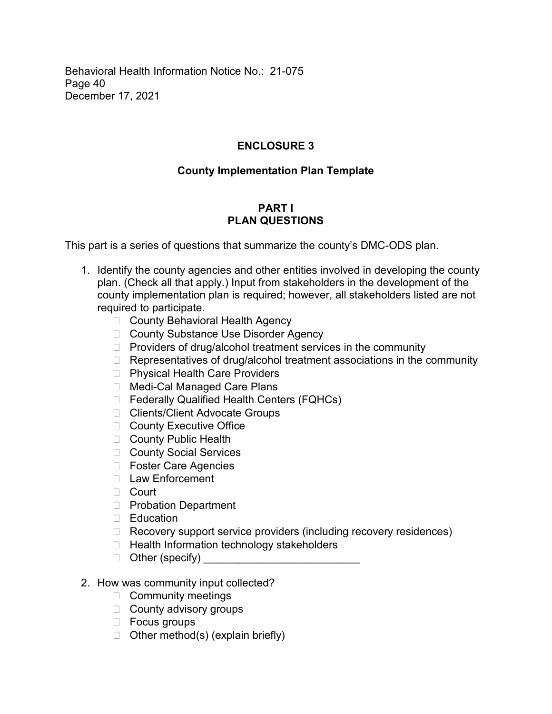Behavioral Health Information Notice No.: 21-075 Page 40 December 17, 2021

# **ENCLOSURE 3**

# **County Implementation Plan Template**

# **PART I PLAN QUESTIONS**

This part is a series of questions that summarize the county's DMC-ODS plan.

- 1. Identify the county agencies and other entities involved in developing the county plan. (Check all that apply.) Input from stakeholders in the development of the county implementation plan is required; however, all stakeholders listed are not required to participate.
	- □ County Behavioral Health Agency
	- □ County Substance Use Disorder Agency
	- $\Box$  Providers of drug/alcohol treatment services in the community
	- $\Box$  Representatives of drug/alcohol treatment associations in the community
	- □ Physical Health Care Providers
	- □ Medi-Cal Managed Care Plans
	- □ Federally Qualified Health Centers (FQHCs)
	- □ Clients/Client Advocate Groups
	- □ County Executive Office
	- □ County Public Health
	- □ County Social Services
	- □ Foster Care Agencies
	- □ Law Enforcement
	- **E** Court
	- □ Probation Department
	- □ Education
	- □ Recovery support service providers (including recovery residences)
	- □ Health Information technology stakeholders
	- Other (specify) \_\_\_\_\_\_\_\_\_\_\_\_\_\_\_\_\_\_\_\_\_\_\_\_\_\_ select Other (specify)
- 2. How was community input collected?
	- □ Community meetings
	- □ County advisory groups
	- □ Focus groups
	- $\Box$  Other method(s) (explain briefly)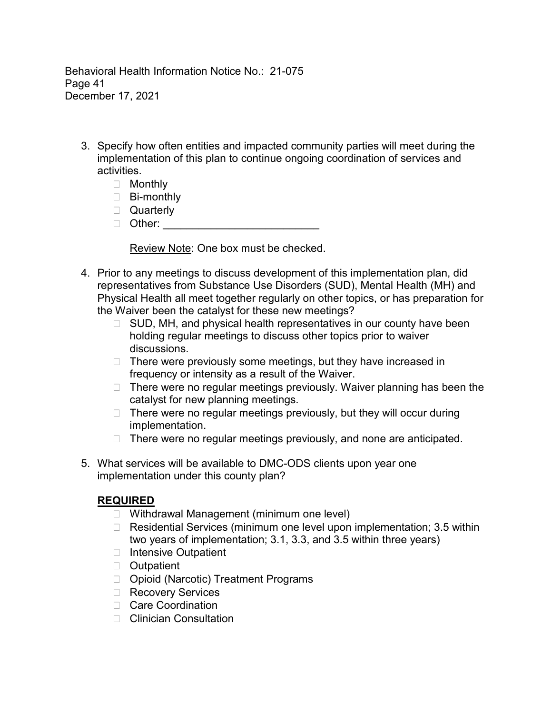Behavioral Health Information Notice No.: 21-075 Page 41 December 17, 2021

- 3. Specify how often entities and impacted community parties will meet during the implementation of this plan to continue ongoing coordination of services and activities.
	- □ Monthly
	- □ Bi-monthly
	- □ Quarterly
	- Other: \_\_\_\_\_\_\_\_\_\_\_\_\_\_\_\_\_\_\_\_\_\_\_\_\_\_ select Other:

Review Note: One box must be checked.

- 4. Prior to any meetings to discuss development of this implementation plan, did representatives from Substance Use Disorders (SUD), Mental Health (MH) and Physical Health all meet together regularly on other topics, or has preparation for the Waiver been the catalyst for these new meetings?
	- $\Box$  SUD, MH, and physical health representatives in our county have been holding regular meetings to discuss other topics prior to waiver meetings to discuss other topics prior to waiver discussions discussions.
	- $\Box$  There were previously some meetings, but they have increased in frequency or intensity as a result of the Waiver. a result of the Waiver.
	- $\Box$  There were no regular meetings previously. Waiver planning has been the catalyst for new planning meetings.
	- $\Box$  There were no regular meetings previously, but they will occur during implementation.
	- $\Box$  There were no regular meetings previously, and none are anticipated.
- 5. What services will be available to DMC-ODS clients upon year one implementation under this county plan?

# **REQUIRED**

- □ Withdrawal Management (minimum one level)
- $\Box$  Residential Services (minimum one level upon implementation; 3.5 within two years of implementation; 3.1, 3.3, and 3.5 within three years)
- □ Intensive Outpatient
- **D** Outpatient
- □ Opioid (Narcotic) Treatment Programs
- □ Recovery Services
- □ Care Coordination
- Clinician Consultation select Clinician Consultation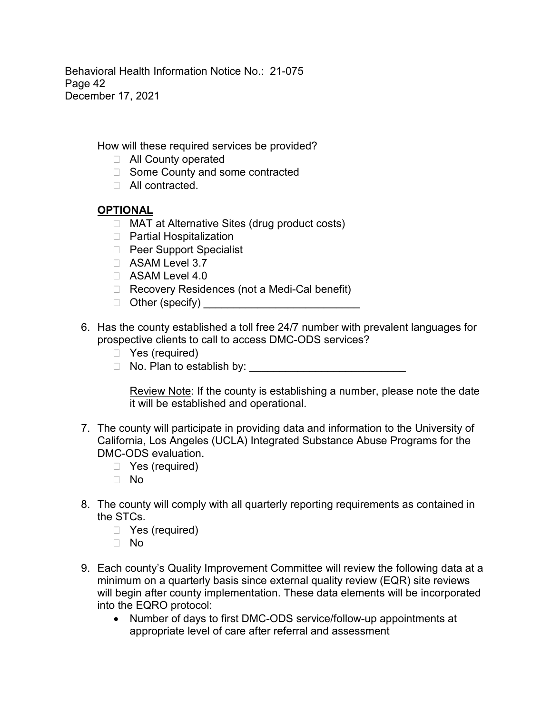Behavioral Health Information Notice No.: 21-075 Page 42 December 17, 2021

How will these required services be provided?

- $\Box$  All County operated
- □ Some County and some contracted
- □ All contracted.

# **OPTIONAL**

- □ MAT at Alternative Sites (drug product costs)
- □ Partial Hospitalization
- D Peer Support Specialist
- □ ASAM Level 3.7
- □ ASAM Level 4.0
- □ Recovery Residences (not a Medi-Cal benefit)
- Other (specify) \_\_\_\_\_\_\_\_\_\_\_\_\_\_\_\_\_\_\_\_\_\_\_\_\_\_ select Other (specify)
- 6. Has the county established a toll free 24/7 number with prevalent languages for prospective clients to call to access DMC-ODS services?
	- □ Yes (required)
	- No. Plan to establish by: \_\_\_\_\_\_\_\_\_\_\_\_\_\_\_\_\_\_\_\_\_\_\_\_\_\_ select No. Plan to establish by:

Review Note: If the county is establishing a number, please note the date it will be established and operational.

- 7. The county will participate in providing data and information to the University of California, Los Angeles (UCLA) Integrated Substance Abuse Programs for the DMC-ODS evaluation.
	- □ Yes (required)
	- No select No
- 8. The county will comply with all quarterly reporting requirements as contained in the STCs.
	- □ Yes (required)
	- No select No
- 9. Each county's Quality Improvement Committee will review the following data at a minimum on a quarterly basis since external quality review (EQR) site reviews will begin after county implementation. These data elements will be incorporated into the EQRO protocol:
	- Number of days to first DMC-ODS service/follow-up appointments at appropriate level of care after referral and assessment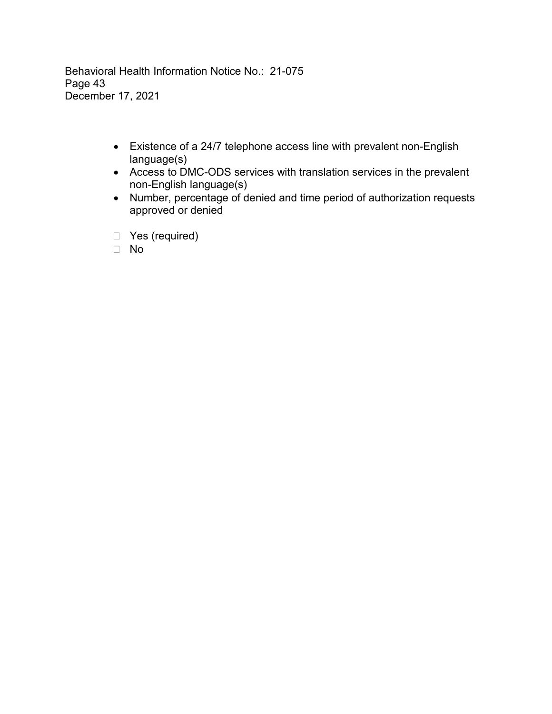Behavioral Health Information Notice No.: 21-075 Page 43 December 17, 2021

- Existence of a 24/7 telephone access line with prevalent non-English language(s)
- Access to DMC-ODS services with translation services in the prevalent non-English language(s)
- Number, percentage of denied and time period of authorization requests approved or denied
- □ Yes (required)
- No select No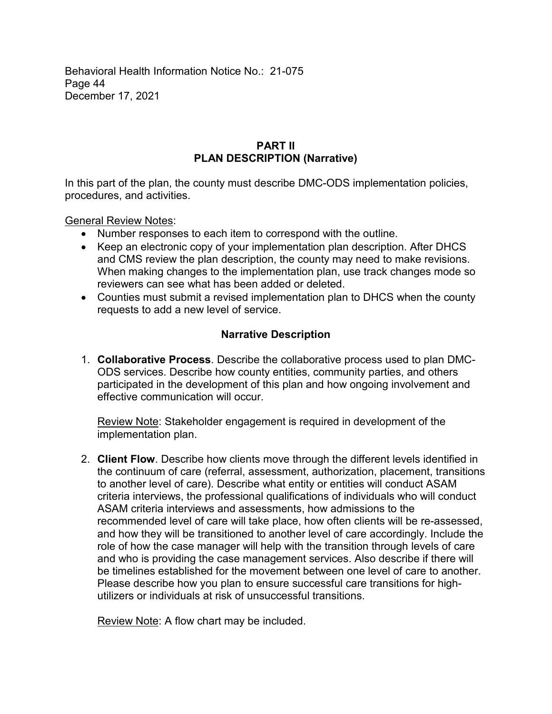Behavioral Health Information Notice No.: 21-075 Page 44 December 17, 2021

#### **PART II PLAN DESCRIPTION (Narrative)**

In this part of the plan, the county must describe DMC-ODS implementation policies, procedures, and activities.

General Review Notes:

- Number responses to each item to correspond with the outline.
- Keep an electronic copy of your implementation plan description. After DHCS and CMS review the plan description, the county may need to make revisions. When making changes to the implementation plan, use track changes mode so reviewers can see what has been added or deleted.
- Counties must submit a revised implementation plan to DHCS when the county requests to add a new level of service.

# **Narrative Description**

1. **Collaborative Process**. Describe the collaborative process used to plan DMC-ODS services. Describe how county entities, community parties, and others participated in the development of this plan and how ongoing involvement and effective communication will occur.

Review Note: Stakeholder engagement is required in development of the implementation plan.

2. **Client Flow**. Describe how clients move through the different levels identified in the continuum of care (referral, assessment, authorization, placement, transitions to another level of care). Describe what entity or entities will conduct ASAM criteria interviews, the professional qualifications of individuals who will conduct ASAM criteria interviews and assessments, how admissions to the recommended level of care will take place, how often clients will be re-assessed, and how they will be transitioned to another level of care accordingly. Include the role of how the case manager will help with the transition through levels of care and who is providing the case management services. Also describe if there will be timelines established for the movement between one level of care to another. Please describe how you plan to ensure successful care transitions for highutilizers or individuals at risk of unsuccessful transitions.

Review Note: A flow chart may be included.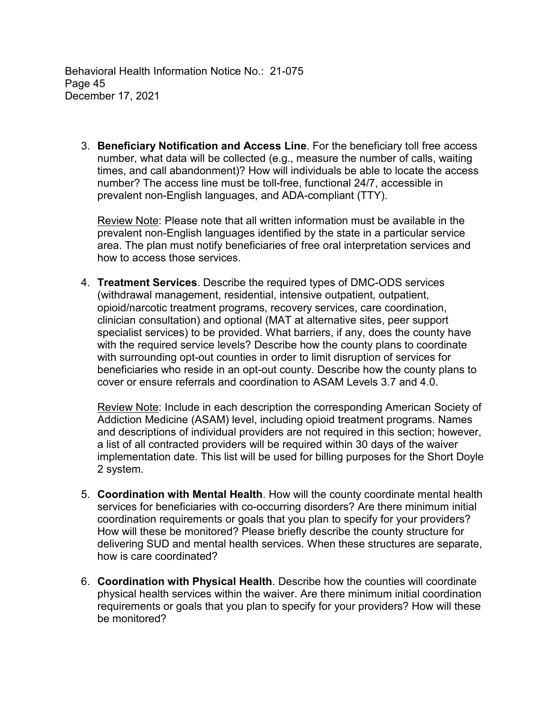Behavioral Health Information Notice No.: 21-075 Page 45 December 17, 2021

3. **Beneficiary Notification and Access Line**. For the beneficiary toll free access number, what data will be collected (e.g., measure the number of calls, waiting times, and call abandonment)? How will individuals be able to locate the access number? The access line must be toll-free, functional 24/7, accessible in prevalent non-English languages, and ADA-compliant (TTY).

Review Note: Please note that all written information must be available in the prevalent non-English languages identified by the state in a particular service area. The plan must notify beneficiaries of free oral interpretation services and how to access those services.

4. **Treatment Services**. Describe the required types of DMC-ODS services (withdrawal management, residential, intensive outpatient, outpatient, opioid/narcotic treatment programs, recovery services, care coordination, clinician consultation) and optional (MAT at alternative sites, peer support specialist services) to be provided. What barriers, if any, does the county have with the required service levels? Describe how the county plans to coordinate with surrounding opt-out counties in order to limit disruption of services for beneficiaries who reside in an opt-out county. Describe how the county plans to cover or ensure referrals and coordination to ASAM Levels 3.7 and 4.0.

Review Note: Include in each description the corresponding American Society of Addiction Medicine (ASAM) level, including opioid treatment programs. Names and descriptions of individual providers are not required in this section; however, a list of all contracted providers will be required within 30 days of the waiver implementation date. This list will be used for billing purposes for the Short Doyle 2 system.

- 5. **Coordination with Mental Health**. How will the county coordinate mental health services for beneficiaries with co-occurring disorders? Are there minimum initial coordination requirements or goals that you plan to specify for your providers? How will these be monitored? Please briefly describe the county structure for delivering SUD and mental health services. When these structures are separate, how is care coordinated?
- 6. **Coordination with Physical Health**. Describe how the counties will coordinate physical health services within the waiver. Are there minimum initial coordination requirements or goals that you plan to specify for your providers? How will these be monitored?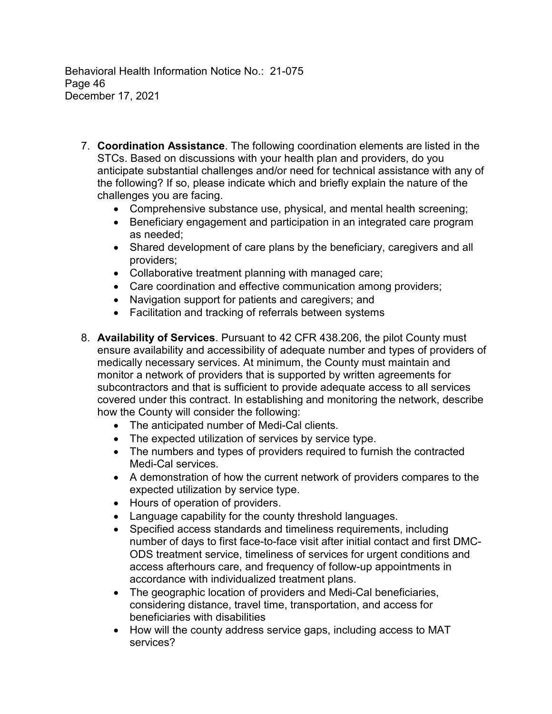Behavioral Health Information Notice No.: 21-075 Page 46 December 17, 2021

- 7. **Coordination Assistance**. The following coordination elements are listed in the STCs. Based on discussions with your health plan and providers, do you anticipate substantial challenges and/or need for technical assistance with any of the following? If so, please indicate which and briefly explain the nature of the challenges you are facing.
	- Comprehensive substance use, physical, and mental health screening;
	- Beneficiary engagement and participation in an integrated care program as needed;
	- Shared development of care plans by the beneficiary, caregivers and all providers;
	- Collaborative treatment planning with managed care;
	- Care coordination and effective communication among providers;
	- Navigation support for patients and caregivers; and
	- Facilitation and tracking of referrals between systems
- 8. **Availability of Services**. Pursuant to 42 CFR 438.206, the pilot County must ensure availability and accessibility of adequate number and types of providers of medically necessary services. At minimum, the County must maintain and monitor a network of providers that is supported by written agreements for subcontractors and that is sufficient to provide adequate access to all services covered under this contract. In establishing and monitoring the network, describe how the County will consider the following:
	- The anticipated number of Medi-Cal clients.
	- The expected utilization of services by service type.
	- The numbers and types of providers required to furnish the contracted Medi-Cal services.
	- A demonstration of how the current network of providers compares to the expected utilization by service type.
	- Hours of operation of providers.
	- Language capability for the county threshold languages.
	- Specified access standards and timeliness requirements, including number of days to first face-to-face visit after initial contact and first DMC-ODS treatment service, timeliness of services for urgent conditions and access afterhours care, and frequency of follow-up appointments in accordance with individualized treatment plans.
	- The geographic location of providers and Medi-Cal beneficiaries, considering distance, travel time, transportation, and access for beneficiaries with disabilities
	- How will the county address service gaps, including access to MAT services?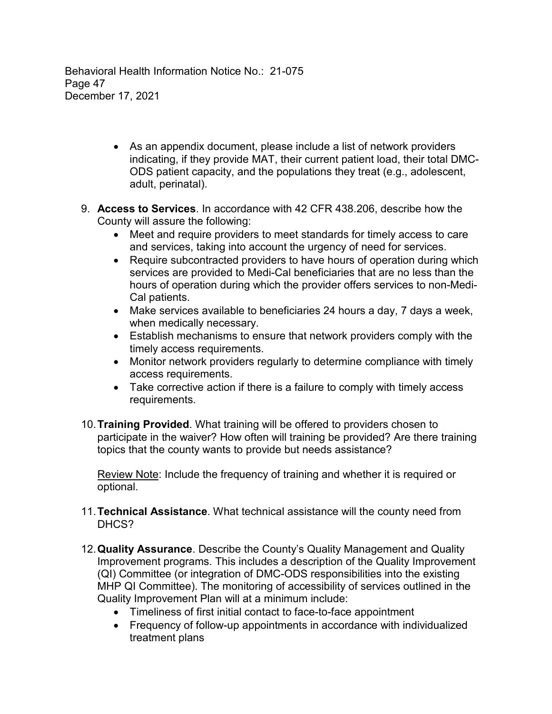Behavioral Health Information Notice No.: 21-075 Page 47 December 17, 2021

- As an appendix document, please include a list of network providers indicating, if they provide MAT, their current patient load, their total DMC-ODS patient capacity, and the populations they treat (e.g., adolescent, adult, perinatal).
- 9. **Access to Services**. In accordance with 42 CFR 438.206, describe how the County will assure the following:
	- Meet and require providers to meet standards for timely access to care and services, taking into account the urgency of need for services.
	- Require subcontracted providers to have hours of operation during which services are provided to Medi-Cal beneficiaries that are no less than the hours of operation during which the provider offers services to non-Medi-Cal patients.
	- Make services available to beneficiaries 24 hours a day, 7 days a week, when medically necessary.
	- Establish mechanisms to ensure that network providers comply with the timely access requirements.
	- Monitor network providers regularly to determine compliance with timely access requirements.
	- Take corrective action if there is a failure to comply with timely access requirements.
- 10.**Training Provided**. What training will be offered to providers chosen to participate in the waiver? How often will training be provided? Are there training topics that the county wants to provide but needs assistance?

Review Note: Include the frequency of training and whether it is required or optional.

- 11.**Technical Assistance**. What technical assistance will the county need from DHCS?
- 12.**Quality Assurance**. Describe the County's Quality Management and Quality Improvement programs. This includes a description of the Quality Improvement (QI) Committee (or integration of DMC-ODS responsibilities into the existing MHP QI Committee). The monitoring of accessibility of services outlined in the Quality Improvement Plan will at a minimum include:
	- Timeliness of first initial contact to face-to-face appointment
	- Frequency of follow-up appointments in accordance with individualized treatment plans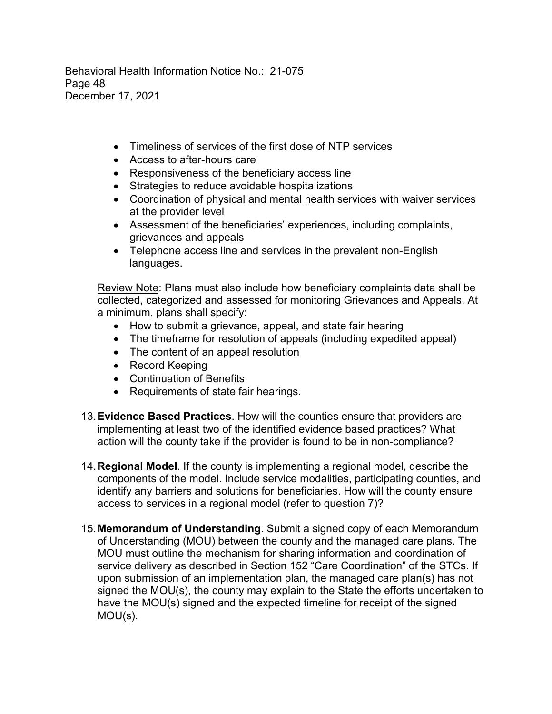Behavioral Health Information Notice No.: 21-075 Page 48 December 17, 2021

- Timeliness of services of the first dose of NTP services
- Access to after-hours care
- Responsiveness of the beneficiary access line
- Strategies to reduce avoidable hospitalizations
- Coordination of physical and mental health services with waiver services at the provider level
- Assessment of the beneficiaries' experiences, including complaints, grievances and appeals
- Telephone access line and services in the prevalent non-English languages.

Review Note: Plans must also include how beneficiary complaints data shall be collected, categorized and assessed for monitoring Grievances and Appeals. At a minimum, plans shall specify:

- How to submit a grievance, appeal, and state fair hearing
- The timeframe for resolution of appeals (including expedited appeal)
- The content of an appeal resolution
- Record Keeping
- Continuation of Benefits
- Requirements of state fair hearings.
- 13.**Evidence Based Practices**. How will the counties ensure that providers are implementing at least two of the identified evidence based practices? What action will the county take if the provider is found to be in non-compliance?
- 14.**Regional Model**. If the county is implementing a regional model, describe the components of the model. Include service modalities, participating counties, and identify any barriers and solutions for beneficiaries. How will the county ensure access to services in a regional model (refer to question 7)?
- 15.**Memorandum of Understanding**. Submit a signed copy of each Memorandum of Understanding (MOU) between the county and the managed care plans. The MOU must outline the mechanism for sharing information and coordination of service delivery as described in Section 152 "Care Coordination" of the STCs. If upon submission of an implementation plan, the managed care plan(s) has not signed the MOU(s), the county may explain to the State the efforts undertaken to have the MOU(s) signed and the expected timeline for receipt of the signed MOU(s).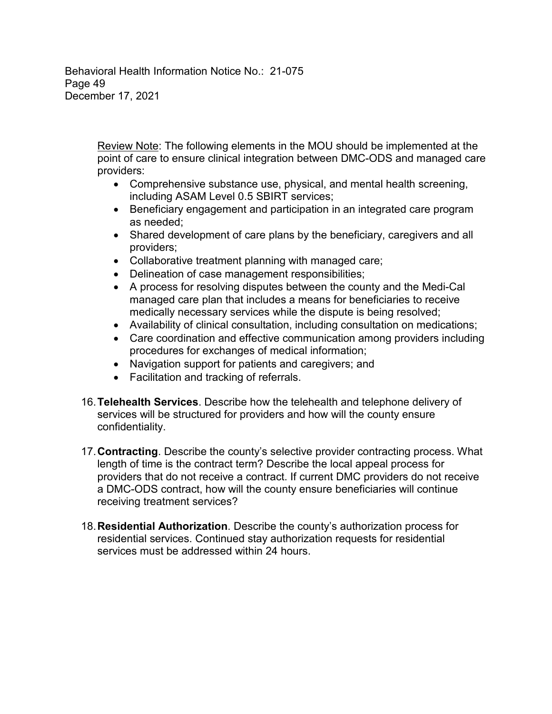Behavioral Health Information Notice No.: 21-075 Page 49 December 17, 2021

> Review Note: The following elements in the MOU should be implemented at the point of care to ensure clinical integration between DMC-ODS and managed care providers:

- Comprehensive substance use, physical, and mental health screening, including ASAM Level 0.5 SBIRT services;
- Beneficiary engagement and participation in an integrated care program as needed;
- Shared development of care plans by the beneficiary, caregivers and all providers;
- Collaborative treatment planning with managed care;
- Delineation of case management responsibilities;
- A process for resolving disputes between the county and the Medi-Cal managed care plan that includes a means for beneficiaries to receive medically necessary services while the dispute is being resolved;
- Availability of clinical consultation, including consultation on medications;
- Care coordination and effective communication among providers including procedures for exchanges of medical information;
- Navigation support for patients and caregivers; and
- Facilitation and tracking of referrals.
- 16.**Telehealth Services**. Describe how the telehealth and telephone delivery of services will be structured for providers and how will the county ensure confidentiality.
- 17.**Contracting**. Describe the county's selective provider contracting process. What length of time is the contract term? Describe the local appeal process for providers that do not receive a contract. If current DMC providers do not receive a DMC-ODS contract, how will the county ensure beneficiaries will continue receiving treatment services?
- 18.**Residential Authorization**. Describe the county's authorization process for residential services. Continued stay authorization requests for residential services must be addressed within 24 hours.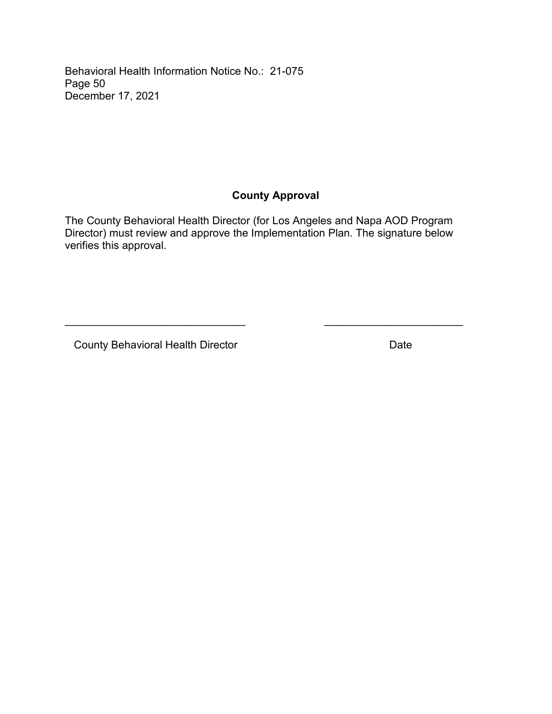Behavioral Health Information Notice No.: 21-075 Page 50 December 17, 2021

# **County Approval**

The County Behavioral Health Director (for Los Angeles and Napa AOD Program Director) must review and approve the Implementation Plan. The signature below verifies this approval.

\_\_\_\_\_\_\_\_\_\_\_\_\_\_\_\_\_\_\_\_\_\_\_\_\_\_\_\_\_\_ \_\_\_\_\_\_\_\_\_\_\_\_\_\_\_\_\_\_\_\_\_\_\_

County Behavioral Health Director **Date** Date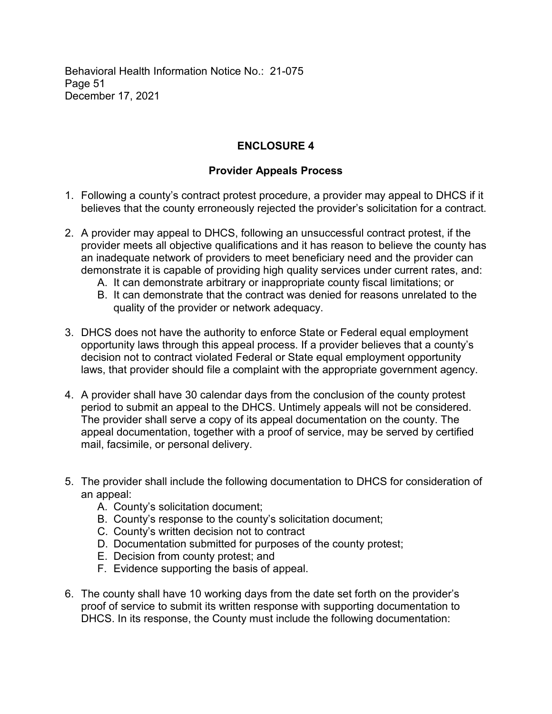Behavioral Health Information Notice No.: 21-075 Page 51 December 17, 2021

# **ENCLOSURE 4**

## **Provider Appeals Process**

- 1. Following a county's contract protest procedure, a provider may appeal to DHCS if it believes that the county erroneously rejected the provider's solicitation for a contract.
- 2. A provider may appeal to DHCS, following an unsuccessful contract protest, if the provider meets all objective qualifications and it has reason to believe the county has an inadequate network of providers to meet beneficiary need and the provider can demonstrate it is capable of providing high quality services under current rates, and:
	- A. It can demonstrate arbitrary or inappropriate county fiscal limitations; or
	- B. It can demonstrate that the contract was denied for reasons unrelated to the quality of the provider or network adequacy.
- 3. DHCS does not have the authority to enforce State or Federal equal employment opportunity laws through this appeal process. If a provider believes that a county's decision not to contract violated Federal or State equal employment opportunity laws, that provider should file a complaint with the appropriate government agency.
- 4. A provider shall have 30 calendar days from the conclusion of the county protest period to submit an appeal to the DHCS. Untimely appeals will not be considered. The provider shall serve a copy of its appeal documentation on the county. The appeal documentation, together with a proof of service, may be served by certified mail, facsimile, or personal delivery.
- 5. The provider shall include the following documentation to DHCS for consideration of an appeal:
	- A. County's solicitation document;
	- B. County's response to the county's solicitation document;
	- C. County's written decision not to contract
	- D. Documentation submitted for purposes of the county protest;
	- E. Decision from county protest; and
	- F. Evidence supporting the basis of appeal.
- 6. The county shall have 10 working days from the date set forth on the provider's proof of service to submit its written response with supporting documentation to DHCS. In its response, the County must include the following documentation: